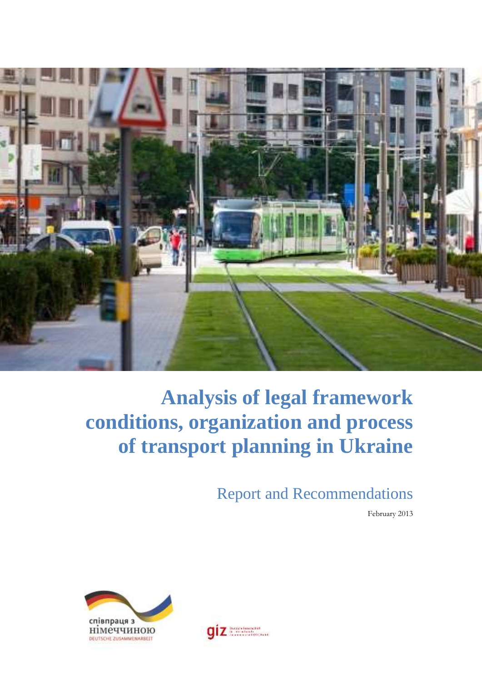

# **Analysis of legal framework conditions, organization and process of transport planning in Ukraine**

Report and Recommendations

February 2013



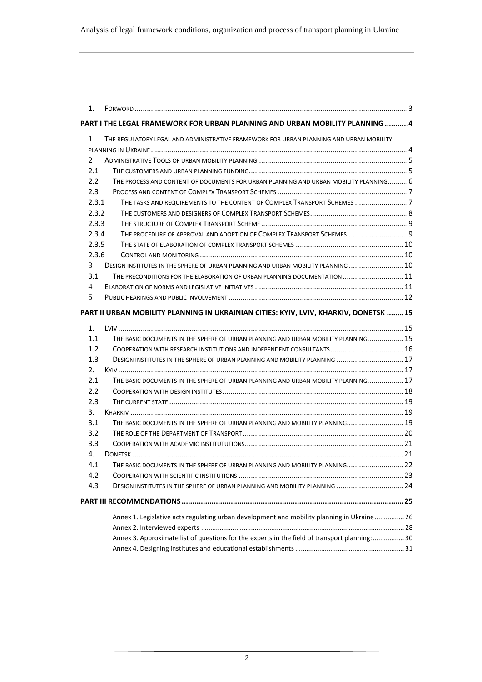| 1.               |                                                                                                |  |
|------------------|------------------------------------------------------------------------------------------------|--|
|                  | PART I THE LEGAL FRAMEWORK FOR URBAN PLANNING AND URBAN MOBILITY PLANNING 4                    |  |
| 1                | THE REGULATORY LEGAL AND ADMINISTRATIVE FRAMEWORK FOR URBAN PLANNING AND URBAN MOBILITY        |  |
|                  |                                                                                                |  |
| 2                |                                                                                                |  |
| 2.1              |                                                                                                |  |
| $2.2^{\circ}$    | THE PROCESS AND CONTENT OF DOCUMENTS FOR URBAN PLANNING AND URBAN MOBILITY PLANNING6           |  |
| 2.3              |                                                                                                |  |
| 2.3.1            | THE TASKS AND REQUIREMENTS TO THE CONTENT OF COMPLEX TRANSPORT SCHEMES 7                       |  |
| 2.3.2            |                                                                                                |  |
| 2.3.3            |                                                                                                |  |
| 2.3.4            | THE PROCEDURE OF APPROVAL AND ADOPTION OF COMPLEX TRANSPORT SCHEMES 9                          |  |
| 2.3.5            |                                                                                                |  |
| 2.3.6            |                                                                                                |  |
| 3                | DESIGN INSTITUTES IN THE SPHERE OF URBAN PLANNING AND URBAN MOBILITY PLANNING  10              |  |
| 3.1              | THE PRECONDITIONS FOR THE ELABORATION OF URBAN PLANNING DOCUMENTATION 11                       |  |
| 4                |                                                                                                |  |
| 5                |                                                                                                |  |
|                  | PART II URBAN MOBILITY PLANNING IN UKRAINIAN CITIES: KYIV, LVIV, KHARKIV, DONETSK 15           |  |
| 1.               |                                                                                                |  |
| 1.1              | THE BASIC DOCUMENTS IN THE SPHERE OF URBAN PLANNING AND URBAN MOBILITY PLANNING15              |  |
| $1.2^{\circ}$    | COOPERATION WITH RESEARCH INSTITUTIONS AND INDEPENDENT CONSULTANTS 16                          |  |
| 1.3              | DESIGN INSTITUTES IN THE SPHERE OF URBAN PLANNING AND MOBILITY PLANNING 17                     |  |
| 2.               |                                                                                                |  |
| 2.1              | THE BASIC DOCUMENTS IN THE SPHERE OF URBAN PLANNING AND URBAN MOBILITY PLANNING17              |  |
| 2.2              |                                                                                                |  |
| 2.3              |                                                                                                |  |
| 3.               |                                                                                                |  |
| 3.1              | THE BASIC DOCUMENTS IN THE SPHERE OF URBAN PLANNING AND MOBILITY PLANNING 19                   |  |
| 3.2              |                                                                                                |  |
| 3.3 <sub>1</sub> |                                                                                                |  |
| 4.               |                                                                                                |  |
| 4.1              | THE BASIC DOCUMENTS IN THE SPHERE OF URBAN PLANNING AND MOBILITY PLANNING 22                   |  |
| 4.2              |                                                                                                |  |
| 4.3              | DESIGN INSTITUTES IN THE SPHERE OF URBAN PLANNING AND MOBILITY PLANNING  24                    |  |
|                  |                                                                                                |  |
|                  | Annex 1. Legislative acts regulating urban development and mobility planning in Ukraine 26     |  |
|                  |                                                                                                |  |
|                  | Annex 3. Approximate list of questions for the experts in the field of transport planning:  30 |  |
|                  |                                                                                                |  |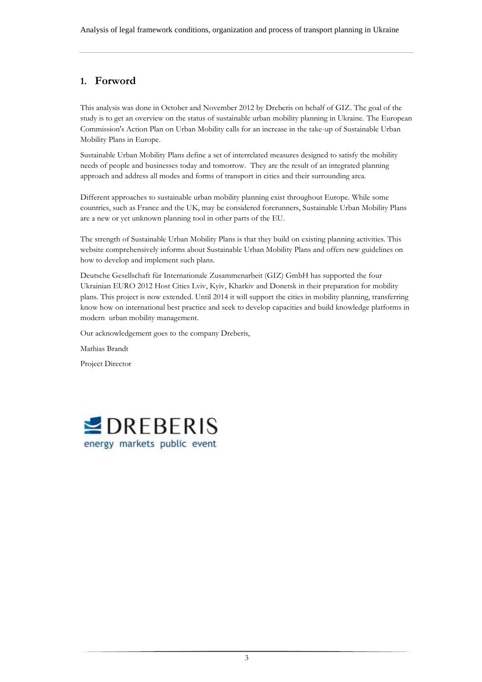## <span id="page-2-0"></span>**1. Forword**

This analysis was done in October and November 2012 by Dreberis on behalf of GIZ. The goal of the study is to get an overview on the status of sustainable urban mobility planning in Ukraine. The European Commission's Action Plan on Urban Mobility calls for an increase in the take-up of Sustainable Urban Mobility Plans in Europe.

Sustainable Urban Mobility Plans define a set of interrelated measures designed to satisfy the mobility needs of people and businesses today and tomorrow. They are the result of an integrated planning approach and address all modes and forms of transport in cities and their surrounding area.

Different approaches to sustainable urban mobility planning exist throughout Europe. While some countries, such as France and the UK, may be considered forerunners, Sustainable Urban Mobility Plans are a new or yet unknown planning tool in other parts of the EU.

The strength of Sustainable Urban Mobility Plans is that they build on existing planning activities. This website comprehensively informs about Sustainable Urban Mobility Plans and offers new guidelines on how to develop and implement such plans.

Deutsche Gesellschaft für Internationale Zusammenarbeit (GIZ) GmbH has supported the four Ukrainian EURO 2012 Host Cities Lviv, Kyiv, Kharkiv and Donetsk in their preparation for mobility plans. This project is now extended. Until 2014 it will support the cities in mobility planning, transferring know how on international best practice and seek to develop capacities and build knowledge platforms in modern urban mobility management.

Our acknowledgement goes to the company Dreberis,

Mathias Brandt

Project Director

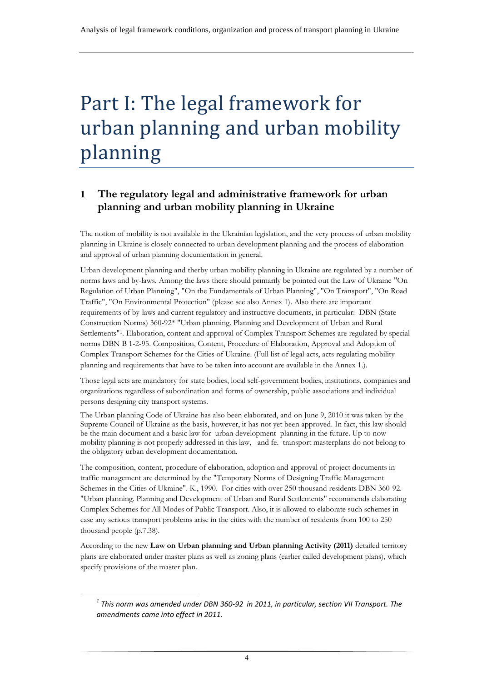# <span id="page-3-0"></span>Part I: The legal framework for urban planning and urban mobility planning

# <span id="page-3-1"></span>**1 The regulatory legal and administrative framework for urban planning and urban mobility planning in Ukraine**

The notion of mobility is not available in the Ukrainian legislation, and the very process of urban mobility planning in Ukraine is closely connected to urban development planning and the process of elaboration and approval of urban planning documentation in general.

Urban development planning and therby urban mobility planning in Ukraine are regulated by a number of norms laws and by-laws. Among the laws there should primarily be pointed out the Law of Ukraine "On Regulation of Urban Planning", "On the Fundamentals of Urban Planning", "On Transport", "On Road Traffic", "On Environmental Protection" (please see also Annex 1). Also there are important requirements of by-laws and current regulatory and instructive documents, in particular: DBN (State Construction Norms) 360-92\* "Urban planning. Planning and Development of Urban and Rural Settlements" 1 . Elaboration, content and approval of Complex Transport Schemes are regulated by special norms DBN B 1-2-95. Composition, Content, Procedure of Elaboration, Approval and Adoption of Complex Transport Schemes for the Cities of Ukraine. (Full list of legal acts, acts regulating mobility planning and requirements that have to be taken into account are available in the Annex 1.).

Those legal acts are mandatory for state bodies, local self-government bodies, institutions, companies and organizations regardless of subordination and forms of ownership, public associations and individual persons designing city transport systems.

The Urban planning Code of Ukraine has also been elaborated, and on June 9, 2010 it was taken by the Supreme Council of Ukraine as the basis, however, it has not yet been approved. In fact, this law should be the main document and a basic law for urban development planning in the future. Up to now mobility planning is not properly addressed in this law, and fe. transport masterplans do not belong to the obligatory urban development documentation.

The composition, content, procedure of elaboration, adoption and approval of project documents in traffic management are determined by the "Temporary Norms of Designing Traffic Management Schemes in the Cities of Ukraine". К., 1990. For cities with over 250 thousand residents DBN 360-92. "Urban planning. Planning and Development of Urban and Rural Settlements" recommends elaborating Complex Schemes for All Modes of Public Transport. Also, it is allowed to elaborate such schemes in case any serious transport problems arise in the cities with the number of residents from 100 to 250 thousand people (p.7.38).

According to the new **Law on Urban planning and Urban planning Activity (2011)** detailed territory plans are elaborated under master plans as well as zoning plans (earlier called development plans), which specify provisions of the master plan.

j

*<sup>1</sup> This norm was amended under DBN 360-92 in 2011, in particular, section VII Transport. The amendments came into effect in 2011.*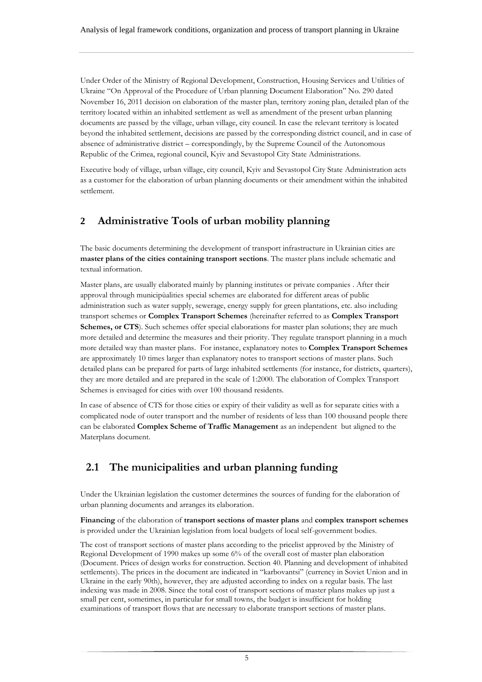Under Order of the Ministry of Regional Development, Construction, Housing Services and Utilities of Ukraine "On Approval of the Procedure of Urban planning Document Elaboration" No. 290 dated November 16, 2011 decision on elaboration of the master plan, territory zoning plan, detailed plan of the territory located within an inhabited settlement as well as amendment of the present urban planning documents are passed by the village, urban village, city council. In case the relevant territory is located beyond the inhabited settlement, decisions are passed by the corresponding district council, and in case of absence of administrative district – correspondingly, by the Supreme Council of the Autonomous Republic of the Crimea, regional council, Kyiv and Sevastopol City State Administrations.

Executive body of village, urban village, city council, Kyiv and Sevastopol City State Administration acts as a customer for the elaboration of urban planning documents or their amendment within the inhabited settlement.

# <span id="page-4-0"></span>**2 Administrative Tools of urban mobility planning**

The basic documents determining the development of transport infrastructure in Ukrainian cities are **master plans of the cities containing transport sections**. The master plans include schematic and textual information.

Master plans, are usually elaborated mainly by planning institutes or private companies . After their approval through municipüalities special schemes are elaborated for different areas of public administration such as water supply, sewerage, energy supply for green plantations, etc. also including transport schemes or **Complex Transport Schemes** (hereinafter referred to as **Complex Transport**  Schemes, or CTS). Such schemes offer special elaborations for master plan solutions; they are much more detailed and determine the measures and their priority. They regulate transport planning in a much more detailed way than master plans. For instance, explanatory notes to **Complex Transport Schemes** are approximately 10 times larger than explanatory notes to transport sections of master plans. Such detailed plans can be prepared for parts of large inhabited settlements (for instance, for districts, quarters), they are more detailed and are prepared in the scale of 1:2000. The elaboration of Complex Transport Schemes is envisaged for cities with over 100 thousand residents.

In case of absence of CTS for those cities or expiry of their validity as well as for separate cities with a complicated node of outer transport and the number of residents of less than 100 thousand people there can be elaborated **Complex Scheme of Traffic Management** as an independent but aligned to the Materplans document.

# <span id="page-4-1"></span>**2.1 The municipalities and urban planning funding**

Under the Ukrainian legislation the customer determines the sources of funding for the elaboration of urban planning documents and arranges its elaboration.

**Financing** of the elaboration of **transport sections of master plans** and **complex transport schemes** is provided under the Ukrainian legislation from local budgets of local self-government bodies.

The cost of transport sections of master plans according to the pricelist approved by the Ministry of Regional Development of 1990 makes up some 6% of the overall cost of master plan elaboration (Document. Prices of design works for construction. Section 40. Planning and development of inhabited settlements). The prices in the document are indicated in "karbovantsi" (currency in Soviet Union and in Ukraine in the early 90th), however, they are adjusted according to index on a regular basis. The last indexing was made in 2008. Since the total cost of transport sections of master plans makes up just a small per cent, sometimes, in particular for small towns, the budget is insufficient for holding examinations of transport flows that are necessary to elaborate transport sections of master plans.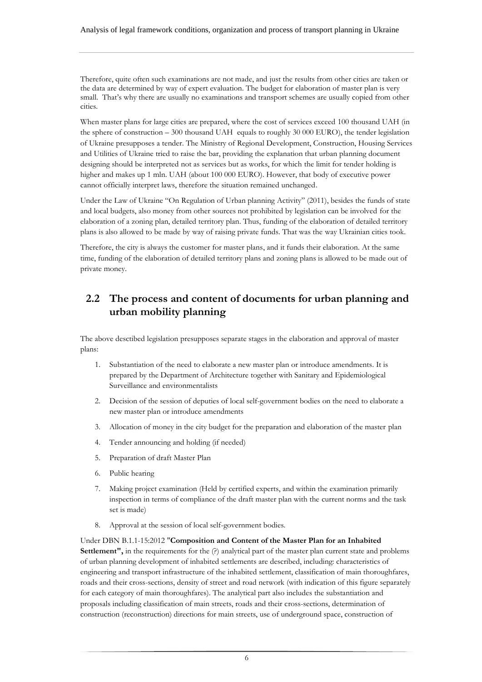Therefore, quite often such examinations are not made, and just the results from other cities are taken or the data are determined by way of expert evaluation. The budget for elaboration of master plan is very small. That's why there are usually no examinations and transport schemes are usually copied from other cities.

When master plans for large cities are prepared, where the cost of services exceed 100 thousand UAH (in the sphere of construction – 300 thousand UAH equals to roughly 30 000 EURO), the tender legislation of Ukraine presupposes a tender. The Ministry of Regional Development, Construction, Housing Services and Utilities of Ukraine tried to raise the bar, providing the explanation that urban planning document designing should be interpreted not as services but as works, for which the limit for tender holding is higher and makes up 1 mln. UAH (about 100 000 EURO). However, that body of executive power cannot officially interpret laws, therefore the situation remained unchanged.

Under the Law of Ukraine "On Regulation of Urban planning Activity" (2011), besides the funds of state and local budgets, also money from other sources not prohibited by legislation can be involved for the elaboration of a zoning plan, detailed territory plan. Thus, funding of the elaboration of detailed territory plans is also allowed to be made by way of raising private funds. That was the way Ukrainian cities took.

Therefore, the city is always the customer for master plans, and it funds their elaboration. At the same time, funding of the elaboration of detailed territory plans and zoning plans is allowed to be made out of private money.

# <span id="page-5-0"></span>**2.2 The process and content of documents for urban planning and urban mobility planning**

The above desctibed legislation presupposes separate stages in the elaboration and approval of master plans:

- 1. Substantiation of the need to elaborate a new master plan or introduce amendments. It is prepared by the Department of Architecture together with Sanitary and Epidemiological Surveillance and environmentalists
- 2. Decision of the session of deputies of local self-government bodies on the need to elaborate a new master plan or introduce amendments
- 3. Allocation of money in the city budget for the preparation and elaboration of the master plan
- 4. Tender announcing and holding (if needed)
- 5. Preparation of draft Master Plan
- 6. Public hearing
- 7. Making project examination (Held by certified experts, and within the examination primarily inspection in terms of compliance of the draft master plan with the current norms and the task set is made)
- 8. Approval at the session of local self-government bodies.

Under DBN B.1.1-15:2012 "**Composition and Content of the Master Plan for an Inhabited Settlement"**, in the requirements for the (?) analytical part of the master plan current state and problems of urban planning development of inhabited settlements are described, including: characteristics of engineering and transport infrastructure of the inhabited settlement, classification of main thoroughfares, roads and their cross-sections, density of street and road network (with indication of this figure separately for each category of main thoroughfares). The analytical part also includes the substantiation and proposals including classification of main streets, roads and their cross-sections, determination of construction (reconstruction) directions for main streets, use of underground space, construction of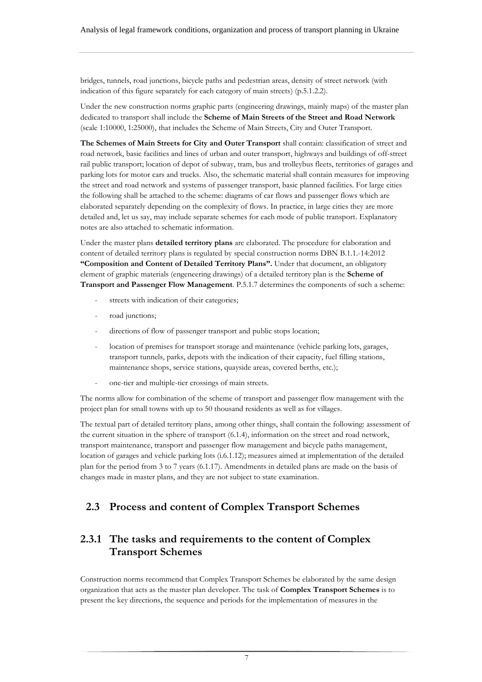bridges, tunnels, road junctions, bicycle paths and pedestrian areas, density of street network (with indication of this figure separately for each category of main streets) (p.5.1.2.2).

Under the new construction norms graphic parts (engineering drawings, mainly maps) of the master plan dedicated to transport shall include the **Scheme of Main Streets of the Street and Road Network**  (scale 1:10000, 1:25000), that includes the Scheme of Main Streets, City and Outer Transport.

**The Schemes of Main Streets for City and Outer Transport** shall contain: classification of street and road network, basic facilities and lines of urban and outer transport, highways and buildings of off-street rail public transport; location of depot of subway, tram, bus and trolleybus fleets, territories of garages and parking lots for motor cars and trucks. Also, the schematic material shall contain measures for improving the street and road network and systems of passenger transport, basic planned facilities. For large cities the following shall be attached to the scheme: diagrams of car flows and passenger flows which are elaborated separately depending on the complexity of flows. In practice, in large cities they are more detailed and, let us say, may include separate schemes for each mode of public transport. Explanatory notes are also attached to schematic information.

Under the master plans **detailed territory plans** are elaborated. The procedure for elaboration and content of detailed territory plans is regulated by special construction norms DBN B.1.1.-14:2012 **"Composition and Content of Detailed Territory Plans".** Under that document, an obligatory element of graphic materials (engeneering drawings) of a detailed territory plan is the **Scheme of Transport and Passenger Flow Management**. P.5.1.7 determines the components of such a scheme:

- streets with indication of their categories;
- road junctions;
- directions of flow of passenger transport and public stops location;
- location of premises for transport storage and maintenance (vehicle parking lots, garages, transport tunnels, parks, depots with the indication of their capacity, fuel filling stations, maintenance shops, service stations, quayside areas, covered berths, etc.);
- one-tier and multiple-tier crossings of main streets.

The norms allow for combination of the scheme of transport and passenger flow management with the project plan for small towns with up to 50 thousand residents as well as for villages.

The textual part of detailed territory plans, among other things, shall contain the following: assessment of the current situation in the sphere of transport (6.1.4), information on the street and road network, transport maintenance, transport and passenger flow management and bicycle paths management, location of garages and vehicle parking lots (i.6.1.12); measures aimed at implementation of the detailed plan for the period from 3 to 7 years (6.1.17). Amendments in detailed plans are made on the basis of changes made in master plans, and they are not subject to state examination.

## <span id="page-6-0"></span>**2.3 Process and content of Complex Transport Schemes**

## <span id="page-6-1"></span>**2.3.1 The tasks and requirements to the content of Complex Transport Schemes**

Construction norms recommend that Complex Transport Schemes be elaborated by the same design organization that acts as the master plan developer. The task of **Complex Transport Schemes** is to present the key directions, the sequence and periods for the implementation of measures in the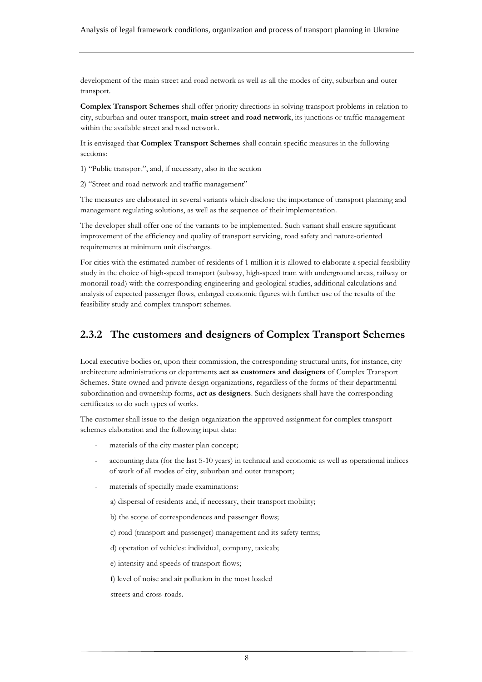development of the main street and road network as well as all the modes of city, suburban and outer transport.

**Complex Transport Schemes** shall offer priority directions in solving transport problems in relation to city, suburban and outer transport, **main street and road network**, its junctions or traffic management within the available street and road network.

It is envisaged that **Complex Transport Schemes** shall contain specific measures in the following sections:

1) "Public transport", and, if necessary, also in the section

2) "Street and road network and traffic management"

The measures are elaborated in several variants which disclose the importance of transport planning and management regulating solutions, as well as the sequence of their implementation.

The developer shall offer one of the variants to be implemented. Such variant shall ensure significant improvement of the efficiency and quality of transport servicing, road safety and nature-oriented requirements at minimum unit discharges.

For cities with the estimated number of residents of 1 million it is allowed to elaborate a special feasibility study in the choice of high-speed transport (subway, high-speed tram with underground areas, railway or monorail road) with the corresponding engineering and geological studies, additional calculations and analysis of expected passenger flows, enlarged economic figures with further use of the results of the feasibility study and complex transport schemes.

## <span id="page-7-0"></span>**2.3.2 The customers and designers of Complex Transport Schemes**

Local executive bodies or, upon their commission, the corresponding structural units, for instance, city architecture administrations or departments **act as customers and designers** of Complex Transport Schemes. State owned and private design organizations, regardless of the forms of their departmental subordination and ownership forms, **act as designers**. Such designers shall have the corresponding certificates to do such types of works.

The customer shall issue to the design organization the approved assignment for complex transport schemes elaboration and the following input data:

- materials of the city master plan concept;
- accounting data (for the last 5-10 years) in technical and economic as well as operational indices of work of all modes of city, suburban and outer transport;
- materials of specially made examinations:
	- а) dispersal of residents and, if necessary, their transport mobility;
	- b) the scope of correspondences and passenger flows;
	- c) road (transport and passenger) management and its safety terms;
	- d) operation of vehicles: individual, company, taxicab;
	- e) intensity and speeds of transport flows;
	- f) level of noise and air pollution in the most loaded

streets and cross-roads.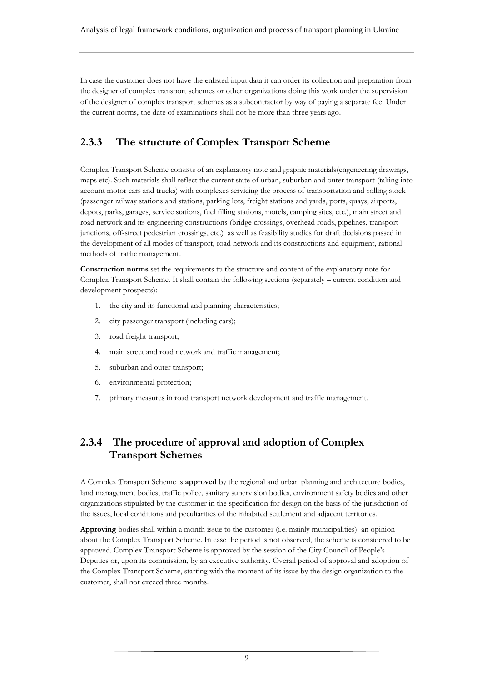In case the customer does not have the enlisted input data it can order its collection and preparation from the designer of complex transport schemes or other organizations doing this work under the supervision of the designer of complex transport schemes as a subcontractor by way of paying a separate fee. Under the current norms, the date of examinations shall not be more than three years ago.

# <span id="page-8-0"></span>**2.3.3 The structure of Complex Transport Scheme**

Complex Transport Scheme consists of an explanatory note and graphic materials(engeneering drawings, maps etc). Such materials shall reflect the current state of urban, suburban and outer transport (taking into account motor cars and trucks) with complexes servicing the process of transportation and rolling stock (passenger railway stations and stations, parking lots, freight stations and yards, ports, quays, airports, depots, parks, garages, service stations, fuel filling stations, motels, camping sites, etc.), main street and road network and its engineering constructions (bridge crossings, overhead roads, pipelines, transport junctions, off-street pedestrian crossings, etc.) as well as feasibility studies for draft decisions passed in the development of all modes of transport, road network and its constructions and equipment, rational methods of traffic management.

**Construction norms** set the requirements to the structure and content of the explanatory note for Complex Transport Scheme. It shall contain the following sections (separately – current condition and development prospects):

- 1. the city and its functional and planning characteristics;
- 2. city passenger transport (including cars);
- 3. road freight transport;
- 4. main street and road network and traffic management;
- 5. suburban and outer transport;
- 6. environmental protection;
- <span id="page-8-1"></span>7. primary measures in road transport network development and traffic management.

# **2.3.4 The procedure of approval and adoption of Complex Transport Schemes**

A Complex Transport Scheme is **approved** by the regional and urban planning and architecture bodies, land management bodies, traffic police, sanitary supervision bodies, environment safety bodies and other organizations stipulated by the customer in the specification for design on the basis of the jurisdiction of the issues, local conditions and peculiarities of the inhabited settlement and adjacent territories.

**Approving** bodies shall within a month issue to the customer (i.e. mainly municipalities) an opinion about the Complex Transport Scheme. In case the period is not observed, the scheme is considered to be approved. Complex Transport Scheme is approved by the session of the City Council of People's Deputies or, upon its commission, by an executive authority. Overall period of approval and adoption of the Complex Transport Scheme, starting with the moment of its issue by the design organization to the customer, shall not exceed three months.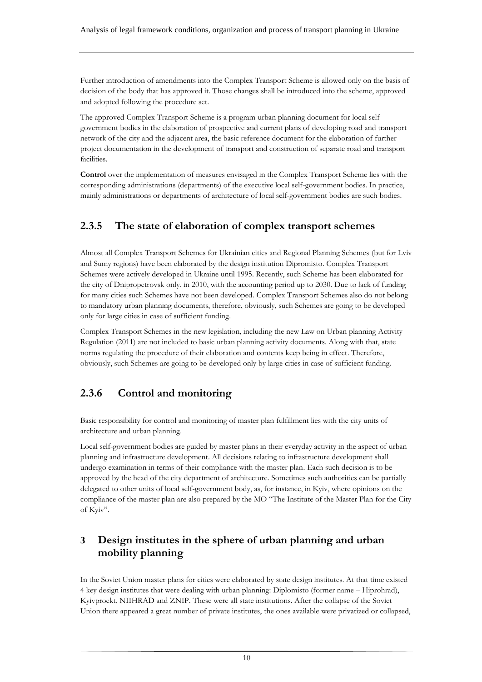Further introduction of amendments into the Complex Transport Scheme is allowed only on the basis of decision of the body that has approved it. Those changes shall be introduced into the scheme, approved and adopted following the procedure set.

The approved Complex Transport Scheme is a program urban planning document for local selfgovernment bodies in the elaboration of prospective and current plans of developing road and transport network of the city and the adjacent area, the basic reference document for the elaboration of further project documentation in the development of transport and construction of separate road and transport facilities.

**Control** over the implementation of measures envisaged in the Complex Transport Scheme lies with the corresponding administrations (departments) of the executive local self-government bodies. In practice, mainly administrations or departments of architecture of local self-government bodies are such bodies.

# <span id="page-9-0"></span>**2.3.5 The state of elaboration of complex transport schemes**

Almost all Complex Transport Schemes for Ukrainian cities and Regional Planning Schemes (but for Lviv and Sumy regions) have been elaborated by the design institution Dipromisto. Complex Transport Schemes were actively developed in Ukraine until 1995. Recently, such Scheme has been elaborated for the city of Dnipropetrovsk only, in 2010, with the accounting period up to 2030. Due to lack of funding for many cities such Schemes have not been developed. Complex Transport Schemes also do not belong to mandatory urban planning documents, therefore, obviously, such Schemes are going to be developed only for large cities in case of sufficient funding.

Complex Transport Schemes in the new legislation, including the new Law on Urban planning Activity Regulation (2011) are not included to basic urban planning activity documents. Along with that, state norms regulating the procedure of their elaboration and contents keep being in effect. Therefore, obviously, such Schemes are going to be developed only by large cities in case of sufficient funding.

# <span id="page-9-1"></span>**2.3.6 Control and monitoring**

Basic responsibility for control and monitoring of master plan fulfillment lies with the city units of architecture and urban planning.

Local self-government bodies are guided by master plans in their everyday activity in the aspect of urban planning and infrastructure development. All decisions relating to infrastructure development shall undergo examination in terms of their compliance with the master plan. Each such decision is to be approved by the head of the city department of architecture. Sometimes such authorities can be partially delegated to other units of local self-government body, as, for instance, in Kyiv, where opinions on the compliance of the master plan are also prepared by the MO "The Institute of the Master Plan for the City of Kyiv".

# <span id="page-9-2"></span>**3 Design institutes in the sphere of urban planning and urban mobility planning**

In the Soviet Union master plans for cities were elaborated by state design institutes. At that time existed 4 key design institutes that were dealing with urban planning: Diplomisto (former name – Hiprohrad), Kyivproekt, NIIHRAD and ZNIP. These were all state institutions. After the collapse of the Soviet Union there appeared a great number of private institutes, the ones available were privatized or collapsed,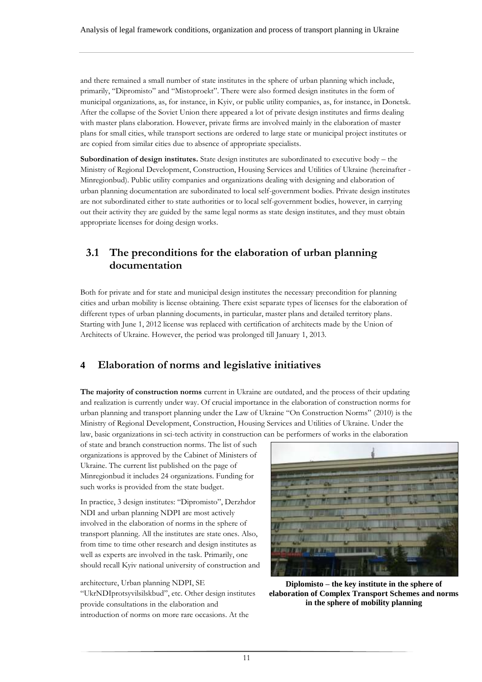and there remained a small number of state institutes in the sphere of urban planning which include, primarily, "Dipromisto" and "Mistoproekt". There were also formed design institutes in the form of municipal organizations, as, for instance, in Kyiv, or public utility companies, as, for instance, in Donetsk. After the collapse of the Soviet Union there appeared a lot of private design institutes and firms dealing with master plans elaboration. However, private firms are involved mainly in the elaboration of master plans for small cities, while transport sections are ordered to large state or municipal project institutes or are copied from similar cities due to absence of appropriate specialists.

**Subordination of design institutes.** State design institutes are subordinated to executive body – the Ministry of Regional Development, Construction, Housing Services and Utilities of Ukraine (hereinafter - Minregionbud). Public utility companies and organizations dealing with designing and elaboration of urban planning documentation are subordinated to local self-government bodies. Private design institutes are not subordinated either to state authorities or to local self-government bodies, however, in carrying out their activity they are guided by the same legal norms as state design institutes, and they must obtain appropriate licenses for doing design works.

## <span id="page-10-0"></span>**3.1 The preconditions for the elaboration of urban planning documentation**

Both for private and for state and municipal design institutes the necessary precondition for planning cities and urban mobility is license obtaining. There exist separate types of licenses for the elaboration of different types of urban planning documents, in particular, master plans and detailed territory plans. Starting with June 1, 2012 license was replaced with certification of architects made by the Union of Architects of Ukraine. However, the period was prolonged till January 1, 2013.

## <span id="page-10-1"></span>**4 Elaboration of norms and legislative initiatives**

**The majority of construction norms** current in Ukraine are outdated, and the process of their updating and realization is currently under way. Of crucial importance in the elaboration of construction norms for urban planning and transport planning under the Law of Ukraine "On Construction Norms" (2010) is the Ministry of Regional Development, Construction, Housing Services and Utilities of Ukraine. Under the law, basic organizations in sci-tech activity in construction can be performers of works in the elaboration

of state and branch construction norms. The list of such organizations is approved by the Cabinet of Ministers of Ukraine. The current list published on the page of Minregionbud it includes 24 organizations. Funding for such works is provided from the state budget.

In practice, 3 design institutes: "Dipromisto", Derzhdor NDI and urban planning NDPI are most actively involved in the elaboration of norms in the sphere of transport planning. All the institutes are state ones. Also, from time to time other research and design institutes as well as experts are involved in the task. Primarily, one should recall Kyiv national university of construction and

architecture, Urban planning NDPI, SE "UkrNDIprotsyvilsilskbud", etc. Other design institutes provide consultations in the elaboration and introduction of norms on more rare occasions. At the



**Diplomisto – the key institute in the sphere of elaboration of Complex Transport Schemes and norms in the sphere of mobility planning**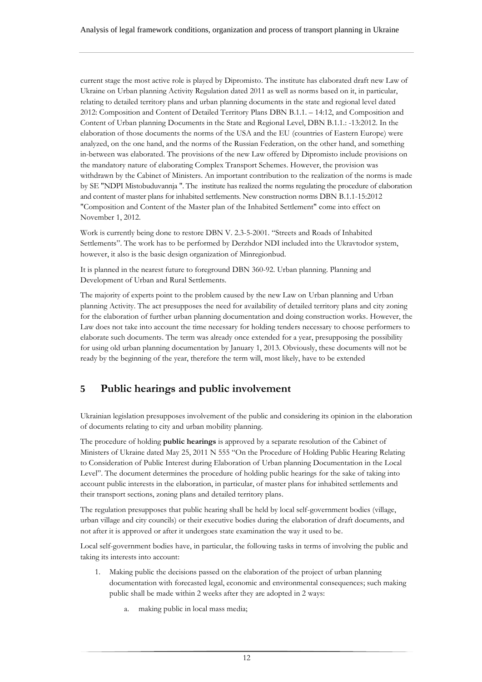current stage the most active role is played by Dipromisto. The institute has elaborated draft new Law of Ukraine on Urban planning Activity Regulation dated 2011 as well as norms based on it, in particular, relating to detailed territory plans and urban planning documents in the state and regional level dated 2012: Composition and Content of Detailed Territory Plans DBN B.1.1. – 14:12, and Composition and Content of Urban planning Documents in the State and Regional Level, DBN B.1.1.: -13:2012. In the elaboration of those documents the norms of the USA and the EU (countries of Eastern Europe) were analyzed, on the one hand, and the norms of the Russian Federation, on the other hand, and something in-between was elaborated. The provisions of the new Law offered by Dipromisto include provisions on the mandatory nature of elaborating Complex Transport Schemes. However, the provision was withdrawn by the Cabinet of Ministers. An important contribution to the realization of the norms is made by SE "NDPI Mistobuduvannja ". The institute has realized the norms regulating the procedure of elaboration and content of master plans for inhabited settlements. New construction norms DBN B.1.1-15:2012 "Composition and Content of the Master plan of the Inhabited Settlement" come into effect on November 1, 2012.

Work is currently being done to restore DBN V. 2.3-5-2001. "Streets and Roads of Inhabited Settlements". The work has to be performed by Derzhdor NDI included into the Ukravtodor system, however, it also is the basic design organization of Minregionbud.

It is planned in the nearest future to foreground DBN 360-92. Urban planning. Planning and Development of Urban and Rural Settlements.

The majority of experts point to the problem caused by the new Law on Urban planning and Urban planning Activity. The act presupposes the need for availability of detailed territory plans and city zoning for the elaboration of further urban planning documentation and doing construction works. However, the Law does not take into account the time necessary for holding tenders necessary to choose performers to elaborate such documents. The term was already once extended for a year, presupposing the possibility for using old urban planning documentation by January 1, 2013. Obviously, these documents will not be ready by the beginning of the year, therefore the term will, most likely, have to be extended

## <span id="page-11-0"></span>**5 Public hearings and public involvement**

Ukrainian legislation presupposes involvement of the public and considering its opinion in the elaboration of documents relating to city and urban mobility planning.

The procedure of holding **public hearings** is approved by a separate resolution of the Cabinet of Ministers of Ukraine dated May 25, 2011 N 555 "On the Procedure of Holding Public Hearing Relating to Consideration of Public Interest during Elaboration of Urban planning Documentation in the Local Level". The document determines the procedure of holding public hearings for the sake of taking into account public interests in the elaboration, in particular, of master plans for inhabited settlements and their transport sections, zoning plans and detailed territory plans.

The regulation presupposes that public hearing shall be held by local self-government bodies (village, urban village and city councils) or their executive bodies during the elaboration of draft documents, and not after it is approved or after it undergoes state examination the way it used to be.

Local self-government bodies have, in particular, the following tasks in terms of involving the public and taking its interests into account:

- 1. Making public the decisions passed on the elaboration of the project of urban planning documentation with forecasted legal, economic and environmental consequences; such making public shall be made within 2 weeks after they are adopted in 2 ways:
	- a. making public in local mass media;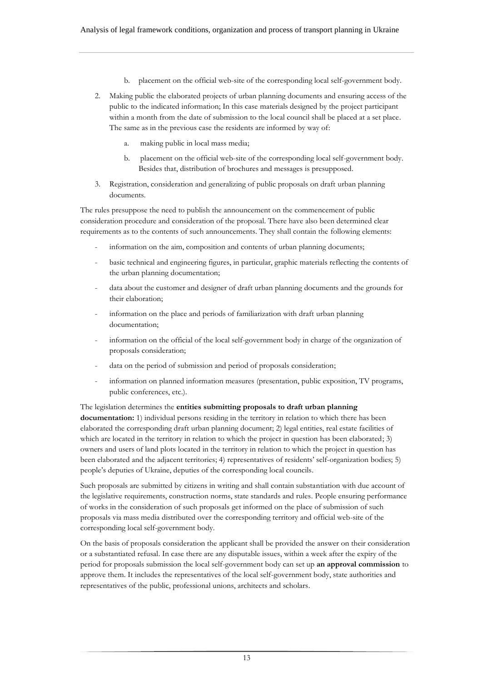- b. placement on the official web-site of the corresponding local self-government body.
- 2. Making public the elaborated projects of urban planning documents and ensuring access of the public to the indicated information; In this case materials designed by the project participant within a month from the date of submission to the local council shall be placed at a set place. The same as in the previous case the residents are informed by way of:
	- a. making public in local mass media;
	- b. placement on the official web-site of the corresponding local self-government body. Besides that, distribution of brochures and messages is presupposed.
- 3. Registration, consideration and generalizing of public proposals on draft urban planning documents.

The rules presuppose the need to publish the announcement on the commencement of public consideration procedure and consideration of the proposal. There have also been determined clear requirements as to the contents of such announcements. They shall contain the following elements:

- information on the aim, composition and contents of urban planning documents;
- basic technical and engineering figures, in particular, graphic materials reflecting the contents of the urban planning documentation;
- data about the customer and designer of draft urban planning documents and the grounds for their elaboration;
- information on the place and periods of familiarization with draft urban planning documentation;
- information on the official of the local self-government body in charge of the organization of proposals consideration;
- data on the period of submission and period of proposals consideration;
- information on planned information measures (presentation, public exposition, TV programs, public conferences, etc.).

## The legislation determines the **entities submitting proposals to draft urban planning**

**documentation:** 1) individual persons residing in the territory in relation to which there has been elaborated the corresponding draft urban planning document; 2) legal entities, real estate facilities of which are located in the territory in relation to which the project in question has been elaborated; 3) owners and users of land plots located in the territory in relation to which the project in question has been elaborated and the adjacent territories; 4) representatives of residents' self-organization bodies; 5) people's deputies of Ukraine, deputies of the corresponding local councils.

Such proposals are submitted by citizens in writing and shall contain substantiation with due account of the legislative requirements, construction norms, state standards and rules. People ensuring performance of works in the consideration of such proposals get informed on the place of submission of such proposals via mass media distributed over the corresponding territory and official web-site of the corresponding local self-government body.

On the basis of proposals consideration the applicant shall be provided the answer on their consideration or a substantiated refusal. In case there are any disputable issues, within a week after the expiry of the period for proposals submission the local self-government body can set up **an approval commission** to approve them. It includes the representatives of the local self-government body, state authorities and representatives of the public, professional unions, architects and scholars.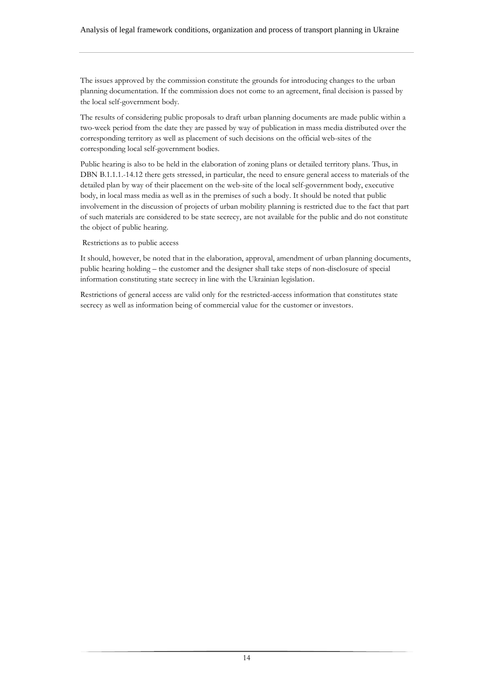The issues approved by the commission constitute the grounds for introducing changes to the urban planning documentation. If the commission does not come to an agreement, final decision is passed by the local self-government body.

The results of considering public proposals to draft urban planning documents are made public within a two-week period from the date they are passed by way of publication in mass media distributed over the corresponding territory as well as placement of such decisions on the official web-sites of the corresponding local self-government bodies.

Public hearing is also to be held in the elaboration of zoning plans or detailed territory plans. Thus, in DBN B.1.1.1.-14.12 there gets stressed, in particular, the need to ensure general access to materials of the detailed plan by way of their placement on the web-site of the local self-government body, executive body, in local mass media as well as in the premises of such a body. It should be noted that public involvement in the discussion of projects of urban mobility planning is restricted due to the fact that part of such materials are considered to be state secrecy, are not available for the public and do not constitute the object of public hearing.

#### Restrictions as to public access

It should, however, be noted that in the elaboration, approval, amendment of urban planning documents, public hearing holding – the customer and the designer shall take steps of non-disclosure of special information constituting state secrecy in line with the Ukrainian legislation.

Restrictions of general access are valid only for the restricted-access information that constitutes state secrecy as well as information being of commercial value for the customer or investors.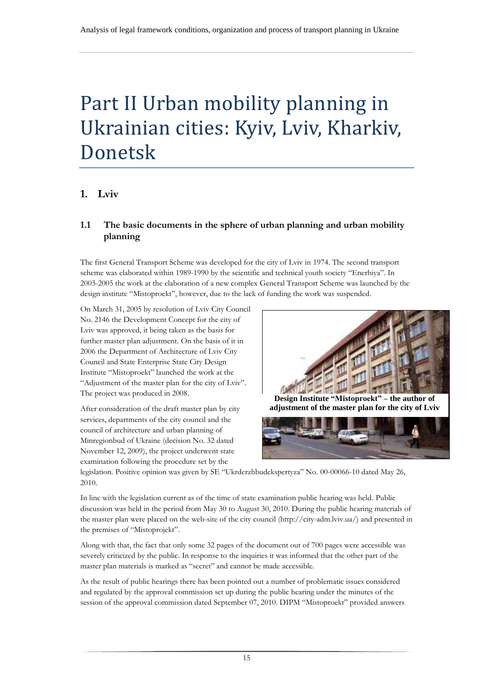# <span id="page-14-0"></span>Part II Urban mobility planning in Ukrainian cities: Kyiv, Lviv, Kharkiv, Donetsk

# <span id="page-14-1"></span>**1. Lviv**

## <span id="page-14-2"></span>**1.1 The basic documents in the sphere of urban planning and urban mobility planning**

The first General Transport Scheme was developed for the city of Lviv in 1974. The second transport scheme was elaborated within 1989-1990 by the scientific and technical youth society "Enerhiya". In 2003-2005 the work at the elaboration of a new complex General Transport Scheme was launched by the design institute "Mistoproekt", however, due to the lack of funding the work was suspended.

On March 31, 2005 by resolution of Lviv City Council No. 2146 the Development Concept for the city of Lviv was approved, it being taken as the basis for further master plan adjustment. On the basis of it in 2006 the Department of Architecture of Lviv City Council and State Enterprise State City Design Institute "Mistoproekt" launched the work at the "Adjustment of the master plan for the city of Lviv". The project was produced in 2008.

After consideration of the draft master plan by city services, departments of the city council and the council of architecture and urban planning of Minregionbud of Ukraine (decision No. 32 dated November 12, 2009), the project underwent state examination following the procedure set by the



**Design Institute "Mistoproekt" – the author of adjustment of the master plan for the city of Lviv**



legislation. Positive opinion was given by SE "Ukrderzhbudekspertyza" No. 00-00066-10 dated May 26, 2010.

In line with the legislation current as of the time of state examination public hearing was held. Public discussion was held in the period from May 30 to August 30, 2010. During the public hearing materials of the master plan were placed on the web-site of the city council (http://city-adm.lviv.ua/) and presented in the premises of "Mistoprojekt".

Along with that, the fact that only some 32 pages of the document out of 700 pages were accessible was severely criticized by the public. In response to the inquiries it was informed that the other part of the master plan materials is marked as "secret" and cannot be made accessible.

As the result of public hearings there has been pointed out a number of problematic issues considered and regulated by the approval commission set up during the public hearing under the minutes of the session of the approval commission dated September 07, 2010. DIPM "Mistoproekt" provided answers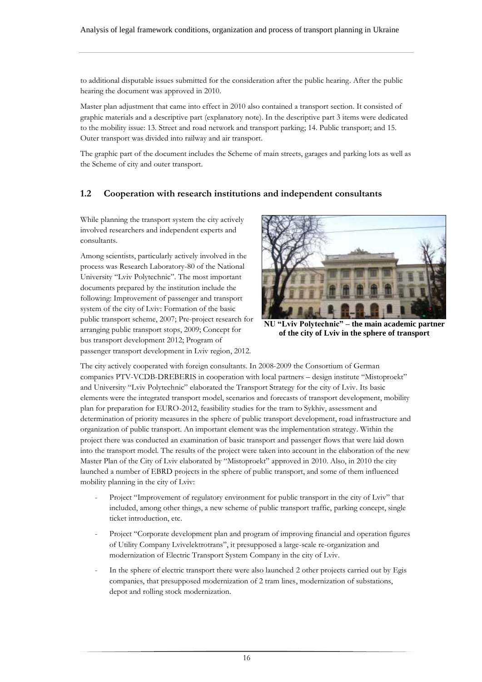to additional disputable issues submitted for the consideration after the public hearing. After the public hearing the document was approved in 2010.

Master plan adjustment that came into effect in 2010 also contained a transport section. It consisted of graphic materials and a descriptive part (explanatory note). In the descriptive part 3 items were dedicated to the mobility issue: 13. Street and road network and transport parking; 14. Public transport; and 15. Outer transport was divided into railway and air transport.

The graphic part of the document includes the Scheme of main street[s, garages and parking lots a](http://www.city-adm.lviv.ua/adm/images/stories/arhitect/123/Dod_3_MAGISTRALI.pdf)s well as the Scheme of city and outer transport.

#### <span id="page-15-0"></span>**1.2 Cooperation with research institutions and independent consultants**

While planning the transport system the city actively involved researchers and independent experts and consultants.

Among scientists, particularly actively involved in the process was Research Laboratory-80 of the National University "Lviv Polytechnic". The most important documents prepared by the institution include the following: Improvement of passenger and transport system of the city of Lviv: Formation of the basic public transport scheme, 2007; Pre-project research for arranging public transport stops, 2009; Concept for bus transport development 2012; Program of passenger transport development in Lviv region, 2012.



**NU "Lviv Polytechnic" – the main academic partner of the city of Lviv in the sphere of transport** 

The city actively cooperated with foreign consultants. In 2008-2009 the Consortium of German companies PTV-VCDB-DREBERIS in cooperation with local partners – design institute "Mistoproekt" and University "Lviv Polytechnic" elaborated the Transport Strategy for the city of Lviv. Its basic elements were the integrated transport model, scenarios and forecasts of transport development, mobility plan for preparation for EURO-2012, feasibility studies for the tram to Sykhiv, assessment and determination of priority measures in the sphere of public transport development, road infrastructure and organization of public transport. An important element was the implementation strategy. Within the project there was conducted an examination of basic transport and passenger flows that were laid down into the transport model. The results of the project were taken into account in the elaboration of the new Master Plan of the City of Lviv elaborated by "Mistoproekt" approved in 2010. Also, in 2010 the city launched a number of EBRD projects in the sphere of public transport, and some of them influenced mobility planning in the city of Lviv:

- Project "Improvement of regulatory environment for public transport in the city of Lviv" that included, among other things, a new scheme of public transport traffic, parking concept, single ticket introduction, etc.
- Project "Corporate development plan and program of improving financial and operation figures of Utility Company Lvivelektrotrans", it presupposed a large-scale re-organization and modernization of Electric Transport System Company in the city of Lviv.
- In the sphere of electric transport there were also launched 2 other projects carried out by Egis companies, that presupposed modernization of 2 tram lines, modernization of substations, depot and rolling stock modernization.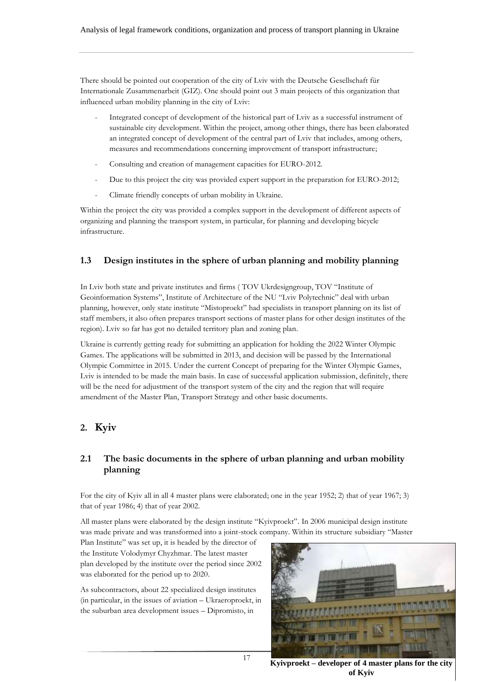There should be pointed out cooperation of the city of Lviv with the Deutsche Gesellschaft für Internationale Zusammenarbeit (GIZ). One should point out 3 main projects of this organization that influenced urban mobility planning in the city of Lviv:

- Integrated concept of development of the historical part of Lviv as a successful instrument of sustainable city development. Within the project, among other things, there has been elaborated an integrated concept of development of the central part of Lviv that includes, among others, measures and recommendations concerning improvement of transport infrastructure;
- Consulting and creation of management capacities for EURO-2012.
- Due to this project the city was provided expert support in the preparation for EURO-2012;
- Climate friendly concepts of urban mobility in Ukraine.

Within the project the city was provided a complex support in the development of different aspects of organizing and planning the transport system, in particular, for planning and developing bicycle infrastructure.

#### <span id="page-16-0"></span>**1.3 Design institutes in the sphere of urban planning and mobility planning**

In Lviv both state and private institutes and firms ( TOV Ukrdesigngroup, TOV "Institute of Geoinformation Systems", Institute of Architecture of the NU "Lviv Polytechnic" deal with urban planning, however, only state institute "Mistoproekt" had specialists in transport planning on its list of staff members, it also often prepares transport sections of master plans for other design institutes of the region). Lviv so far has got no detailed territory plan and zoning plan.

Ukraine is currently getting ready for submitting an application for holding the 2022 Winter Olympic Games. The applications will be submitted in 2013, and decision will be passed by the International Olympic Committee in 2015. Under the current Concept of preparing for the Winter Olympic Games, Lviv is intended to be made the main basis. In case of successful application submission, definitely, there will be the need for adjustment of the transport system of the city and the region that will require amendment of the Master Plan, Transport Strategy and other basic documents.

# <span id="page-16-1"></span>**2. Kyiv**

#### <span id="page-16-2"></span>**2.1 The basic documents in the sphere of urban planning and urban mobility planning**

For the city of Kyiv all in all 4 master plans were elaborated; one in the year 1952; 2) that of year 1967; 3) that of year 1986; 4) that of year 2002.

All master plans were elaborated by the design institute "Kyivproekt". In 2006 municipal design institute was made private and was transformed into a joint-stock company. Within its structure subsidiary "Master

Plan Institute" was set up, it is headed by the director of the Institute Volodymyr Chyzhmar. The latest master plan developed by the institute over the period since 2002 was elaborated for the period up to 2020.

As subcontractors, about 22 specialized design institutes (in particular, in the issues of aviation – Ukraeroproekt, in the suburban area development issues – Dipromisto, in



**Kyivproekt – developer of 4 master plans for the city of Kyiv**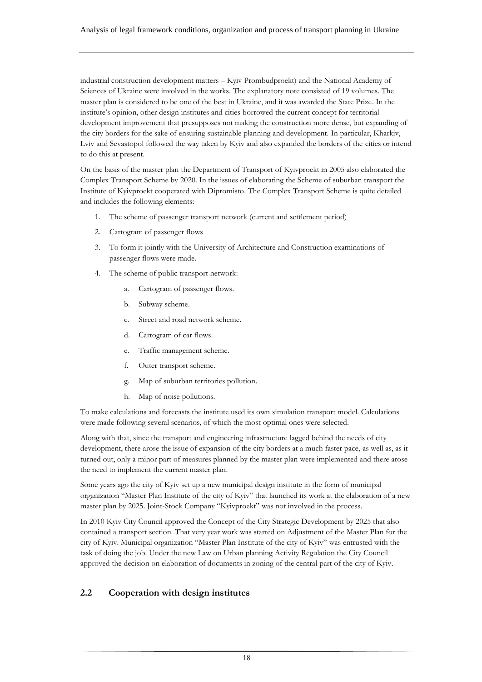industrial construction development matters – Kyiv Prombudproekt) and the National Academy of Sciences of Ukraine were involved in the works. The explanatory note consisted of 19 volumes. The master plan is considered to be one of the best in Ukraine, and it was awarded the State Prize. In the institute's opinion, other design institutes and cities borrowed the current concept for territorial development improvement that presupposes not making the construction more dense, but expanding of the city borders for the sake of ensuring sustainable planning and development. In particular, Kharkiv, Lviv and Sevastopol followed the way taken by Kyiv and also expanded the borders of the cities or intend to do this at present.

On the basis of the master plan the Department of Transport of Kyivproekt in 2005 also elaborated the Complex Transport Scheme by 2020. In the issues of elaborating the Scheme of suburban transport the Institute of Kyivproekt cooperated with Dipromisto. The Complex Transport Scheme is quite detailed and includes the following elements:

- 1. The scheme of passenger transport network (current and settlement period)
- 2. Cartogram of passenger flows
- 3. To form it jointly with the University of Architecture and Construction examinations of passenger flows were made.
- 4. The scheme of public transport network:
	- a. Cartogram of passenger flows.
	- b. Subway scheme.
	- c. Street and road network scheme.
	- d. Cartogram of car flows.
	- e. Traffic management scheme.
	- f. Outer transport scheme.
	- g. Map of suburban territories pollution.
	- h. Map of noise pollutions.

To make calculations and forecasts the institute used its own simulation transport model. Calculations were made following several scenarios, of which the most optimal ones were selected.

Along with that, since the transport and engineering infrastructure lagged behind the needs of city development, there arose the issue of expansion of the city borders at a much faster pace, as well as, as it turned out, only a minor part of measures planned by the master plan were implemented and there arose the need to implement the current master plan.

Some years ago the city of Kyiv set up a new municipal design institute in the form of municipal organization "Master Plan Institute of the city of Kyiv" that launched its work at the elaboration of a new master plan by 2025. Joint-Stock Company "Kyivproekt" was not involved in the process.

In 2010 Kyiv City Council approved the Concept of the City Strategic Development by 2025 that also contained a transport section. That very year work was started on Adjustment of the Master Plan for the city of Kyiv. Municipal organization "Master Plan Institute of the city of Kyiv" was entrusted with the task of doing the job. Under the new Law on Urban planning Activity Regulation the City Council approved the decision on elaboration of documents in zoning of the central part of the city of Kyiv.

#### <span id="page-17-0"></span>**2.2 Cooperation with design institutes**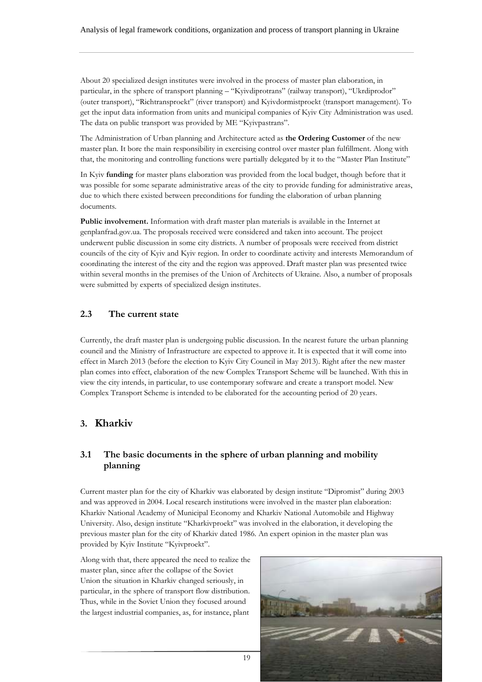About 20 specialized design institutes were involved in the process of master plan elaboration, in particular, in the sphere of transport planning – "Kyivdiprotrans" (railway transport), "Ukrdiprodor" (outer transport), "Richtransproekt" (river transport) and Kyivdormistproekt (transport management). To get the input data information from units and municipal companies of Kyiv City Administration was used. The data on public transport was provided by ME "Kyivpastrans".

The Administration of Urban planning and Architecture acted as **the Ordering Customer** of the new master plan. It bore the main responsibility in exercising control over master plan fulfillment. Along with that, the monitoring and controlling functions were partially delegated by it to the "Master Plan Institute"

In Kyiv **funding** for master plans elaboration was provided from the local budget, though before that it was possible for some separate administrative areas of the city to provide funding for administrative areas, due to which there existed between preconditions for funding the elaboration of urban planning documents.

**Public involvement.** Information with draft master plan materials is available in the Internet at genplanfrad.gov.ua. The proposals received were considered and taken into account. The project underwent public discussion in some city districts. A number of proposals were received from district councils of the city of Kyiv and Kyiv region. In order to coordinate activity and interests Memorandum of coordinating the interest of the city and the region was approved. Draft master plan was presented twice within several months in the premises of the Union of Architects of Ukraine. Also, a number of proposals were submitted by experts of specialized design institutes.

#### <span id="page-18-0"></span>**2.3 The current state**

Currently, the draft master plan is undergoing public discussion. In the nearest future the urban planning council and the Ministry of Infrastructure are expected to approve it. It is expected that it will come into effect in March 2013 (before the election to Kyiv City Council in May 2013). Right after the new master plan comes into effect, elaboration of the new Complex Transport Scheme will be launched. With this in view the city intends, in particular, to use contemporary software and create a transport model. New Complex Transport Scheme is intended to be elaborated for the accounting period of 20 years.

## <span id="page-18-1"></span>**3. Kharkiv**

#### <span id="page-18-2"></span>**3.1 The basic documents in the sphere of urban planning and mobility planning**

Current master plan for the city of Kharkiv was elaborated by design institute "Dipromist" during 2003 and was approved in 2004. Local research institutions were involved in the master plan elaboration: Kharkiv National Academy of Municipal Economy and Kharkiv National Automobile and Highway University. Also, design institute "Kharkivproekt" was involved in the elaboration, it developing the previous master plan for the city of Kharkiv dated 1986. An expert opinion in the master plan was provided by Kyiv Institute "Kyivproekt".

Along with that, there appeared the need to realize the master plan, since after the collapse of the Soviet Union the situation in Kharkiv changed seriously, in particular, in the sphere of transport flow distribution. Thus, while in the Soviet Union they focused around the largest industrial companies, as, for instance, plant

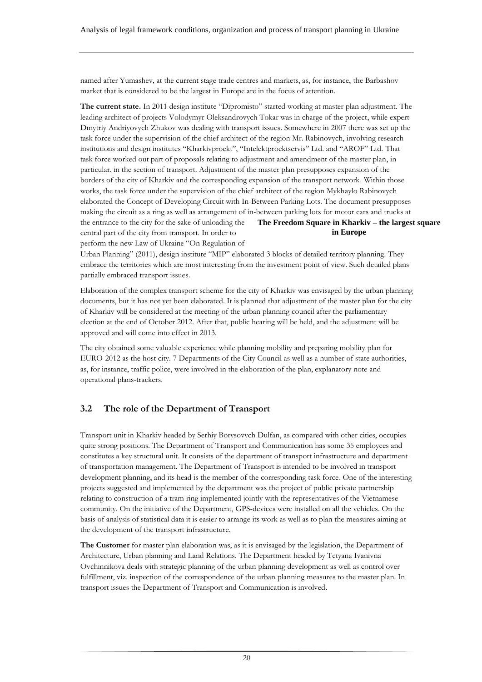named after Yumashev, at the current stage trade centres and markets, as, for instance, the Barbashov market that is considered to be the largest in Europe are in the focus of attention.

**The current state.** In 2011 design institute "Dipromisto" started working at master plan adjustment. The leading architect of projects Volodymyr Oleksandrovych Tokar was in charge of the project, while expert Dmytriy Andriyovych Zhukov was dealing with transport issues. Somewhere in 2007 there was set up the task force under the supervision of the chief architect of the region Mr. Rabinovych, involving research institutions and design institutes "Kharkivproekt", "Intelektproektservis" Ltd. and "AROF" Ltd. That task force worked out part of proposals relating to adjustment and amendment of the master plan, in particular, in the section of transport. Adjustment of the master plan presupposes expansion of the borders of the city of Kharkiv and the corresponding expansion of the transport network. Within those works, the task force under the supervision of the chief architect of the region Mykhaylo Rabinovych elaborated the Concept of Developing Circuit with In-Between Parking Lots. The document presupposes making the circuit as a ring as well as arrangement of in-between parking lots for motor cars and trucks at the entrance to the city for the sake of unloading the central part of the city from transport. In order to perform the new Law of Ukraine "On Regulation of **The Freedom Square in Kharkiv – the largest square in Europe**

Urban Planning" (2011), design institute "MIP" elaborated 3 blocks of detailed territory planning. They embrace the territories which are most interesting from the investment point of view. Such detailed plans partially embraced transport issues.

Elaboration of the complex transport scheme for the city of Kharkiv was envisaged by the urban planning documents, but it has not yet been elaborated. It is planned that adjustment of the master plan for the city of Kharkiv will be considered at the meeting of the urban planning council after the parliamentary election at the end of October 2012. After that, public hearing will be held, and the adjustment will be approved and will come into effect in 2013.

The city obtained some valuable experience while planning mobility and preparing mobility plan for EURO-2012 as the host city. 7 Departments of the City Council as well as a number of state authorities, as, for instance, traffic police, were involved in the elaboration of the plan, explanatory note and operational plans-trackers.

## <span id="page-19-0"></span>**3.2 The role of the Department of Transport**

Transport unit in Kharkiv headed by Serhiy Borysovych Dulfan, as compared with other cities, occupies quite strong positions. The Department of Transport and Communication has some 35 employees and constitutes a key structural unit. It consists of the department of transport infrastructure and department of transportation management. The Department of Transport is intended to be involved in transport development planning, and its head is the member of the corresponding task force. One of the interesting projects suggested and implemented by the department was the project of public private partnership relating to construction of a tram ring implemented jointly with the representatives of the Vietnamese community. On the initiative of the Department, GPS-devices were installed on all the vehicles. On the basis of analysis of statistical data it is easier to arrange its work as well as to plan the measures aiming at the development of the transport infrastructure.

**The Customer** for master plan elaboration was, as it is envisaged by the legislation, the Department of Architecture, Urban planning and Land Relations. The Department headed by Tetyana Ivanivna Ovchinnikova deals with strategic planning of the urban planning development as well as control over fulfillment, viz. inspection of the correspondence of the urban planning measures to the master plan. In transport issues the Department of Transport and Communication is involved.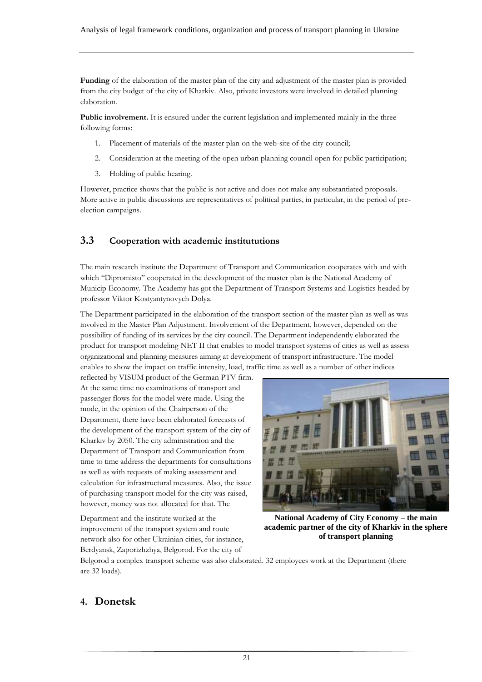**Funding** of the elaboration of the master plan of the city and adjustment of the master plan is provided from the city budget of the city of Kharkiv. Also, private investors were involved in detailed planning elaboration.

**Public involvement.** It is ensured under the current legislation and implemented mainly in the three following forms:

- 1. Placement of materials of the master plan on the web-site of the city council;
- 2. Consideration at the meeting of the open urban planning council open for public participation;
- 3. Holding of public hearing.

However, practice shows that the public is not active and does not make any substantiated proposals. More active in public discussions are representatives of political parties, in particular, in the period of preelection campaigns.

#### <span id="page-20-0"></span>**3.3 Cooperation with academic institututions**

The main research institute the Department of Transport and Communication cooperates with and with which "Dipromisto" cooperated in the development of the master plan is the National Academy of Municip Economy. The Academy has got the Department of Transport Systems and Logistics headed by professor Viktor Kostyantynovych Dolya.

The Department participated in the elaboration of the transport section of the master plan as well as was involved in the Master Plan Adjustment. Involvement of the Department, however, depended on the possibility of funding of its services by the city council. The Department independently elaborated the product for transport modeling NET II that enables to model transport systems of cities as well as assess organizational and planning measures aiming at development of transport infrastructure. The model enables to show the impact on traffic intensity, load, traffic time as well as a number of other indices

reflected by VISUM product of the German PTV firm. At the same time no examinations of transport and passenger flows for the model were made. Using the mode, in the opinion of the Chairperson of the Department, there have been elaborated forecasts of the development of the transport system of the city of Kharkiv by 2050. The city administration and the Department of Transport and Communication from time to time address the departments for consultations as well as with requests of making assessment and calculation for infrastructural measures. Also, the issue of purchasing transport model for the city was raised, however, money was not allocated for that. The

Department and the institute worked at the improvement of the transport system and route network also for other Ukrainian cities, for instance, Berdyansk, Zaporizhzhya, Belgorod. For the city of

**National Academy of City Economy – the main academic partner of the city of Kharkiv in the sphere of transport planning** 

Belgorod a complex transport scheme was also elaborated. 32 employees work at the Department (there are 32 loads).

## <span id="page-20-1"></span>**4. Donetsk**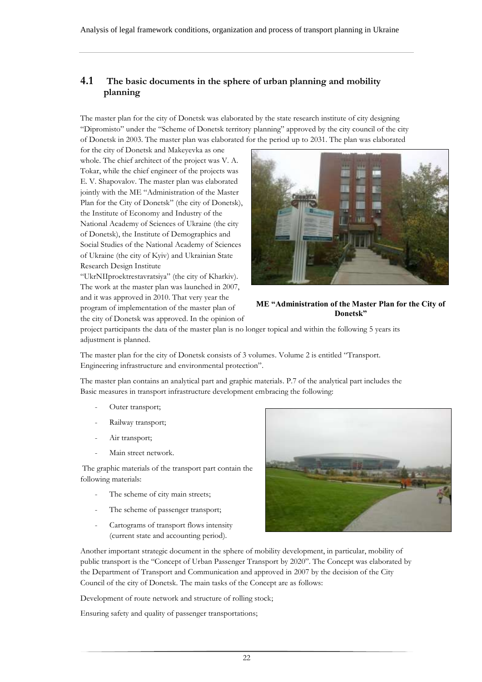## <span id="page-21-0"></span>**4.1 The basic documents in the sphere of urban planning and mobility planning**

The master plan for the city of Donetsk was elaborated by the state research institute of city designing "Dipromisto" under the "Scheme of Donetsk territory planning" approved by the city council of the city of Donetsk in 2003. The master plan was elaborated for the period up to 2031. The plan was elaborated

for the city of Donetsk and Makeyevka as one whole. The chief architect of the project was V. A. Tokar, while the chief engineer of the projects was E. V. Shapovalov. The master plan was elaborated jointly with the ME "Administration of the Master Plan for the City of Donetsk" (the city of Donetsk), the Institute of Economy and Industry of the National Academy of Sciences of Ukraine (the city of Donetsk), the Institute of Demographics and Social Studies of the National Academy of Sciences of Ukraine (the city of Kyiv) and Ukrainian State Research Design Institute

"UkrNIIproektrestavratsiya" (the city of Kharkiv). The work at the master plan was launched in 2007, and it was approved in 2010. That very year the program of implementation of the master plan of the city of Donetsk was approved. In the opinion of



#### **ME "Administration of the Master Plan for the City of Donetsk"**

project participants the data of the master plan is no longer topical and within the following 5 years its adjustment is planned.

The master plan for the city of Donetsk consists of 3 volumes. Volume 2 is entitled "Transport. Engineering infrastructure and environmental protection".

The master plan contains an analytical part and graphic materials. P.7 of the analytical part includes the Basic measures in transport infrastructure development embracing the following:

- Outer transport;
- Railway transport;
- Air transport;
- Main street network.

The graphic materials of the transport part contain the following materials:

- The scheme of city main streets;
- The scheme of passenger transport;
- Cartograms of transport flows intensity (current state and accounting period).



Another important strategic document in the sphere of mobility development, in particular, mobility of public transport is the "Concept of Urban Passenger Transport by 2020". The Concept was elaborated by the Department of Transport and Communication and approved in 2007 by the decision of the City Council of the city of Donetsk. The main tasks of the Concept are as follows:

Development of route network and structure of rolling stock;

Ensuring safety and quality of passenger transportations;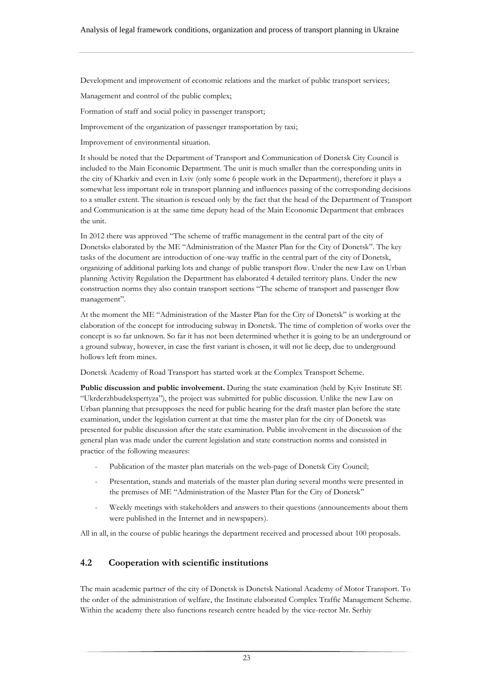Development and improvement of economic relations and the market of public transport services;

Management and control of the public complex;

Formation of staff and social policy in passenger transport;

Improvement of the organization of passenger transportation by taxi;

Improvement of environmental situation.

It should be noted that the Department of Transport and Communication of Donetsk City Council is included to the Main Economic Department. The unit is much smaller than the corresponding units in the city of Kharkiv and even in Lviv (only some 6 people work in the Department), therefore it plays a somewhat less important role in transport planning and influences passing of the corresponding decisions to a smaller extent. The situation is rescued only by the fact that the head of the Department of Transport and Communication is at the same time deputy head of the Main Economic Department that embraces the unit.

In 2012 there was approved "The scheme of traffic management in the central part of the city of Donetsk» elaborated by the ME "Administration of the Master Plan for the City of Donetsk". The key tasks of the document are introduction of one-way traffic in the central part of the city of Donetsk, organizing of additional parking lots and change of public transport flow. Under the new Law on Urban planning Activity Regulation the Department has elaborated 4 detailed territory plans. Under the new construction norms they also contain transport sections "The scheme of transport and passenger flow management".

At the moment the ME "Administration of the Master Plan for the City of Donetsk" is working at the elaboration of the concept for introducing subway in Donetsk. The time of completion of works over the concept is so far unknown. So far it has not been determined whether it is going to be an underground or a ground subway, however, in case the first variant is chosen, it will not lie deep, due to underground hollows left from mines.

Donetsk Academy of Road Transport has started work at the Complex Transport Scheme.

**Public discussion and public involvement.** During the state examination (held by Kyiv Institute SE "Ukrderzhbudekspertyza"), the project was submitted for public discussion. Unlike the new Law on Urban planning that presupposes the need for public hearing for the draft master plan before the state examination, under the legislation current at that time the master plan for the city of Donetsk was presented for public discussion after the state examination. Public involvement in the discussion of the general plan was made under the current legislation and state construction norms and consisted in practice of the following measures:

- Publication of the master plan materials on the web-page of Donetsk City Council;
- Presentation, stands and materials of the master plan during several months were presented in the premises of ME "Administration of the Master Plan for the City of Donetsk"
- Weekly meetings with stakeholders and answers to their questions (announcements about them were published in the Internet and in newspapers).

<span id="page-22-0"></span>All in all, in the course of public hearings the department received and processed about 100 proposals.

#### **4.2 Cooperation with scientific institutions**

The main academic partner of the city of Donetsk is Donetsk National Academy of Motor Transport. To the order of the administration of welfare, the Institute elaborated Complex Traffic Management Scheme. Within the academy there also functions research centre headed by the vice-rector Mr. Serhiy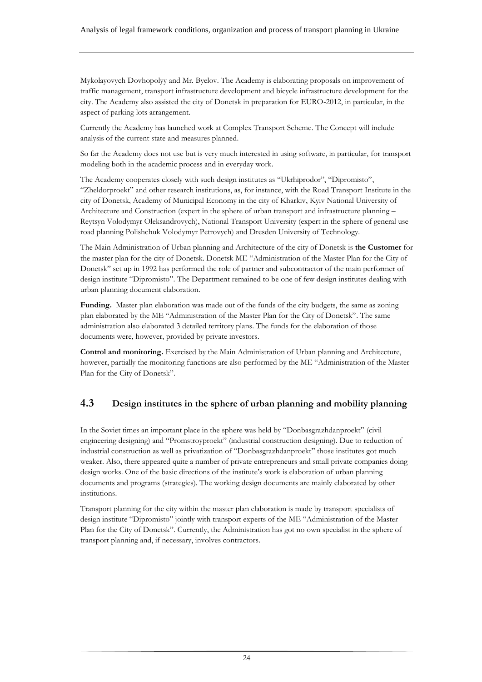Mykolayovych Dovhopolyy and Mr. Byelov. The Academy is elaborating proposals on improvement of traffic management, transport infrastructure development and bicycle infrastructure development for the city. The Academy also assisted the city of Donetsk in preparation for EURO-2012, in particular, in the aspect of parking lots arrangement.

Currently the Academy has launched work at Complex Transport Scheme. The Concept will include analysis of the current state and measures planned.

So far the Academy does not use but is very much interested in using software, in particular, for transport modeling both in the academic process and in everyday work.

The Academy cooperates closely with such design institutes as "Ukrhiprodor", "Dipromisto", "Zheldorproekt" and other research institutions, as, for instance, with the Road Transport Institute in the city of Donetsk, Academy of Municipal Economy in the city of Kharkiv, Kyiv National University of Architecture and Construction (expert in the sphere of urban transport and infrastructure planning – Reytsyn Volodymyr Oleksandrovych), National Transport University (expert in the sphere of general use road planning Polishchuk Volodymyr Petrovych) and Dresden University of Technology.

The Main Administration of Urban planning and Architecture of the city of Donetsk is **the Customer** for the master plan for the city of Donetsk. Donetsk ME "Administration of the Master Plan for the City of Donetsk" set up in 1992 has performed the role of partner and subcontractor of the main performer of design institute "Dipromisto". The Department remained to be one of few design institutes dealing with urban planning document elaboration.

**Funding.** Master plan elaboration was made out of the funds of the city budgets, the same as zoning plan elaborated by the ME "Administration of the Master Plan for the City of Donetsk". The same administration also elaborated 3 detailed territory plans. The funds for the elaboration of those documents were, however, provided by private investors.

**Control and monitoring.** Exercised by the Main Administration of Urban planning and Architecture, however, partially the monitoring functions are also performed by the ME "Administration of the Master Plan for the City of Donetsk".

## <span id="page-23-0"></span>**4.3 Design institutes in the sphere of urban planning and mobility planning**

In the Soviet times an important place in the sphere was held by "Donbasgrazhdanproekt" (civil engineering designing) and "Promstroyproekt" (industrial construction designing). Due to reduction of industrial construction as well as privatization of "Donbasgrazhdanproekt" those institutes got much weaker. Also, there appeared quite a number of private entrepreneurs and small private companies doing design works. One of the basic directions of the institute's work is elaboration of urban planning documents and programs (strategies). The working design documents are mainly elaborated by other institutions.

Transport planning for the city within the master plan elaboration is made by transport specialists of design institute "Dipromisto" jointly with transport experts of the ME "Administration of the Master Plan for the City of Donetsk". Currently, the Administration has got no own specialist in the sphere of transport planning and, if necessary, involves contractors.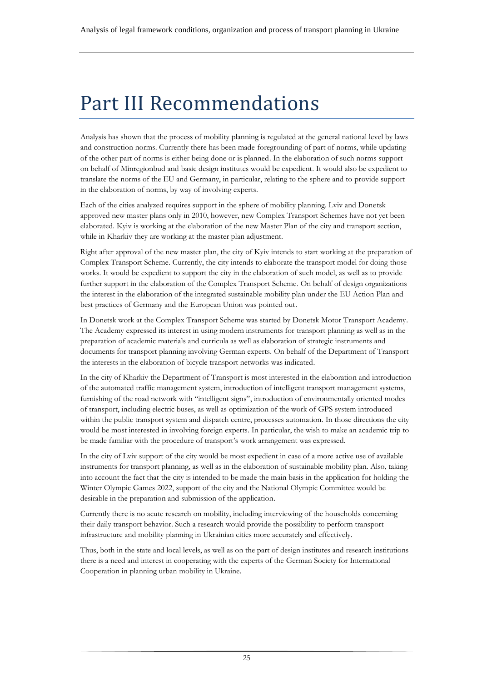# <span id="page-24-0"></span>Part III Recommendations

Analysis has shown that the process of mobility planning is regulated at the general national level by laws and construction norms. Currently there has been made foregrounding of part of norms, while updating of the other part of norms is either being done or is planned. In the elaboration of such norms support on behalf of Minregionbud and basic design institutes would be expedient. It would also be expedient to translate the norms of the EU and Germany, in particular, relating to the sphere and to provide support in the elaboration of norms, by way of involving experts.

Each of the cities analyzed requires support in the sphere of mobility planning. Lviv and Donetsk approved new master plans only in 2010, however, new Complex Transport Schemes have not yet been elaborated. Kyiv is working at the elaboration of the new Master Plan of the city and transport section, while in Kharkiv they are working at the master plan adjustment.

Right after approval of the new master plan, the city of Kyiv intends to start working at the preparation of Complex Transport Scheme. Currently, the city intends to elaborate the transport model for doing those works. It would be expedient to support the city in the elaboration of such model, as well as to provide further support in the elaboration of the Complex Transport Scheme. On behalf of design organizations the interest in the elaboration of the integrated sustainable mobility plan under the EU Action Plan and best practices of Germany and the European Union was pointed out.

In Donetsk work at the Complex Transport Scheme was started by Donetsk Motor Transport Academy. The Academy expressed its interest in using modern instruments for transport planning as well as in the preparation of academic materials and curricula as well as elaboration of strategic instruments and documents for transport planning involving German experts. On behalf of the Department of Transport the interests in the elaboration of bicycle transport networks was indicated.

In the city of Kharkiv the Department of Transport is most interested in the elaboration and introduction of the automated traffic management system, introduction of intelligent transport management systems, furnishing of the road network with "intelligent signs", introduction of environmentally oriented modes of transport, including electric buses, as well as optimization of the work of GPS system introduced within the public transport system and dispatch centre, processes automation. In those directions the city would be most interested in involving foreign experts. In particular, the wish to make an academic trip to be made familiar with the procedure of transport's work arrangement was expressed.

In the city of Lviv support of the city would be most expedient in case of a more active use of available instruments for transport planning, as well as in the elaboration of sustainable mobility plan. Also, taking into account the fact that the city is intended to be made the main basis in the application for holding the Winter Olympic Games 2022, support of the city and the National Olympic Committee would be desirable in the preparation and submission of the application.

Currently there is no acute research on mobility, including interviewing of the households concerning their daily transport behavior. Such a research would provide the possibility to perform transport infrastructure and mobility planning in Ukrainian cities more accurately and effectively.

Thus, both in the state and local levels, as well as on the part of design institutes and research institutions there is a need and interest in cooperating with the experts of the German Society for International Cooperation in planning urban mobility in Ukraine.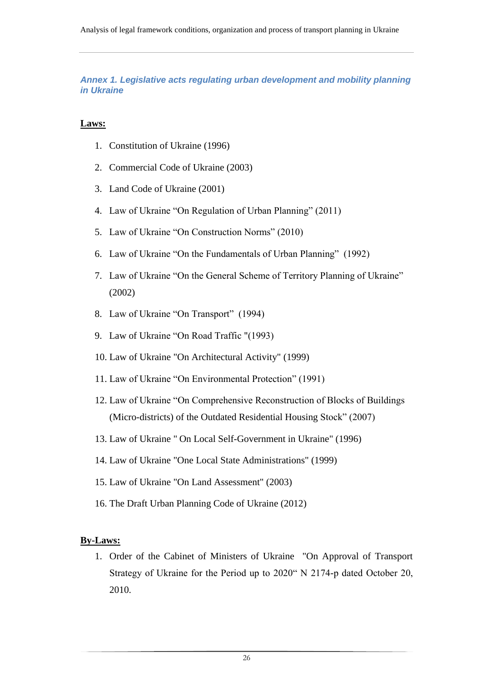<span id="page-25-0"></span>*Annex 1. Legislative acts regulating urban development and mobility planning in Ukraine*

#### **Laws:**

- 1. Constitution of Ukraine (1996)
- 2. Commercial Code of Ukraine (2003)
- 3. Land Code of Ukraine (2001)
- 4. Law of Ukraine "On Regulation of Urban Planning" (2011)
- 5. Law of Ukraine "On Construction Norms" (2010)
- 6. Law of Ukraine "On the Fundamentals of Urban Planning" (1992)
- 7. Law of Ukraine "On the General Scheme of Territory Planning of Ukraine" (2002)
- 8. Law of Ukraine "On Transport" (1994)
- 9. Law of Ukraine "On Road Traffic "(1993)
- 10. Law of Ukraine "On Architectural Activity" (1999)
- 11. Law of Ukraine "On Environmental Protection" (1991)
- 12. Law of Ukraine "On Comprehensive Reconstruction of Blocks of Buildings (Micro-districts) of the Outdated Residential Housing Stock" (2007)
- 13. Law of Ukraine " On Local Self-Government in Ukraine" (1996)
- 14. [Law of Ukraine "One Local State Administrations" \(1999\)](http://www.grad.gov.ua/files/images/Image/dok/4.doc)
- 15. Law of Ukraine "On Land Assessment" (2003)
- 16. The Draft Urban Planning Code of Ukraine (2012)

#### **By-Laws:**

1. Order of the Cabinet of Ministers of Ukraine "On Approval of Transport Strategy of Ukraine for the Period up to 2020" N 2174-р dated October 20, 2010.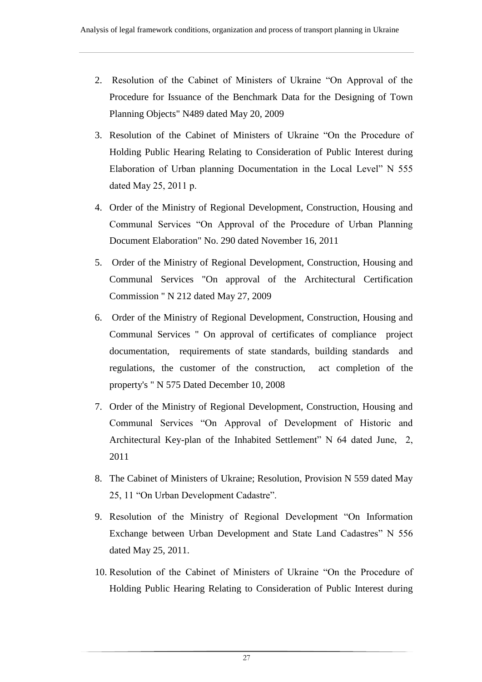- 2. [Resolution of the Cabinet of Ministers of Ukraine "On Approval of the](http://www.grad.gov.ua/files/images/Image/dok/14.doc)  [Procedure for Issuance of the Benchmark Data for the Designing of Town](http://www.grad.gov.ua/files/images/Image/dok/14.doc) [Planning Objects" N489 dated May 20, 2009](http://www.grad.gov.ua/files/images/Image/dok/14.doc)
- 3. Resolution of the Cabinet of Ministers of Ukraine "On the Procedure of Holding Public Hearing Relating to Consideration of Public Interest during Elaboration of Urban planning Documentation in the Local Level" N 555 dated May 25, 2011 р.
- 4. Order of the Ministry of Regional Development, Construction, Housing and Communal Services "On Approval of the Procedure of Urban Planning Document Elaboration" No. 290 dated November 16, 2011
- 5. [Order of the Ministry of Regional Development, Construction, Housing and](http://www.grad.gov.ua/files/images/Image/dok/16.doc)  [Communal Services "On approval of the Architectural Certification](http://www.grad.gov.ua/files/images/Image/dok/16.doc)  [Commission " N 212 dated May 27, 2009](http://www.grad.gov.ua/files/images/Image/dok/16.doc)
- 6. [Order of the Ministry of Regional Development, Construction, Housing and](http://www.grad.gov.ua/files/images/Image/dok/21.doc)  [Communal Services " On approval of certificates of compliance project](http://www.grad.gov.ua/files/images/Image/dok/21.doc)  [documentation, requirements of state standards, building standards and](http://www.grad.gov.ua/files/images/Image/dok/21.doc)  [regulations, the customer of the construction, act completion of the](http://www.grad.gov.ua/files/images/Image/dok/21.doc)  [property's " N 575 Dated December 10, 2008](http://www.grad.gov.ua/files/images/Image/dok/21.doc)
- 7. Order of the Ministry of Regional Development, Construction, Housing and Communal Services "On Approval of Development of Historic and Architectural Key-plan of the Inhabited Settlement" N 64 dated June, 2, 2011
- 8. The Cabinet of Ministers of Ukraine; Resolution, Provision N 559 dated May 25, 11 "On Urban Development Cadastre".
- 9. Resolution of the Ministry of Regional Development "On Information Exchange between Urban Development and State Land Cadastres" N 556 dated May 25, 2011.
- 10. Resolution of the Cabinet of Ministers of Ukraine "On the Procedure of Holding Public Hearing Relating to Consideration of Public Interest during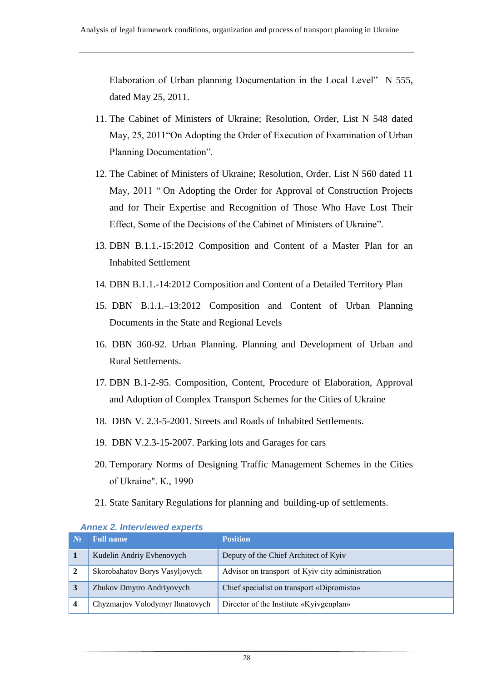Elaboration of Urban planning Documentation in the Local Level" N 555, dated May 25, 2011.

- 11. The Cabinet of Ministers of Ukraine; Resolution, Order, List N 548 dated May, 25, 2011"On Adopting the Order of Execution of Examination of Urban Planning Documentation".
- 12. The Cabinet of Ministers of Ukraine; Resolution, Order, List N 560 dated 11 May, 2011 " On Adopting the Order for Approval of Construction Projects and for Their Expertise and Recognition of Those Who Have Lost Their Effect, Some of the Decisions of the Cabinet of Ministers of Ukraine".
- 13. DBN B.1.1.-15:2012 Composition and Content of a Master Plan for an Inhabited Settlement
- 14. DBN B.1.1.-14:2012 Composition and Content of a Detailed Territory Plan
- 15. DBN B.1.1.–13:2012 Composition and Content of Urban Planning Documents in the State and Regional Levels
- 16. DBN 360-92. Urban Planning. Planning and Development of Urban and Rural Settlements.
- 17. DBN B.1-2-95. Composition, Content, Procedure of Elaboration, Approval and Adoption of Complex Transport Schemes for the Cities of Ukraine
- 18. DBN V. 2.3-5-2001. Streets and Roads of Inhabited Settlements.
- 19. DBN V.2.3-15-2007. Parking lots and Garages for cars
- 20. Temporary Norms of Designing Traffic Management Schemes in the Cities of Ukraine". К., 1990
- 21. State Sanitary Regulations for planning and building-up of settlements.

| $N_2$ | <b>Full name</b>                | <b>Position</b>                                  |  |  |
|-------|---------------------------------|--------------------------------------------------|--|--|
| 1     | Kudelin Andriy Evhenovych       | Deputy of the Chief Architect of Kyiv            |  |  |
|       | Skorobahatov Borys Vasyljovych  | Advisor on transport of Kyiv city administration |  |  |
| 3     | Zhukov Dmytro Andriyovych       | Chief specialist on transport «Dipromisto»       |  |  |
|       | Chyzmarjov Volodymyr Ihnatovych | Director of the Institute «Kyivgenplan»          |  |  |

#### <span id="page-27-0"></span>*Annex 2. Interviewed experts*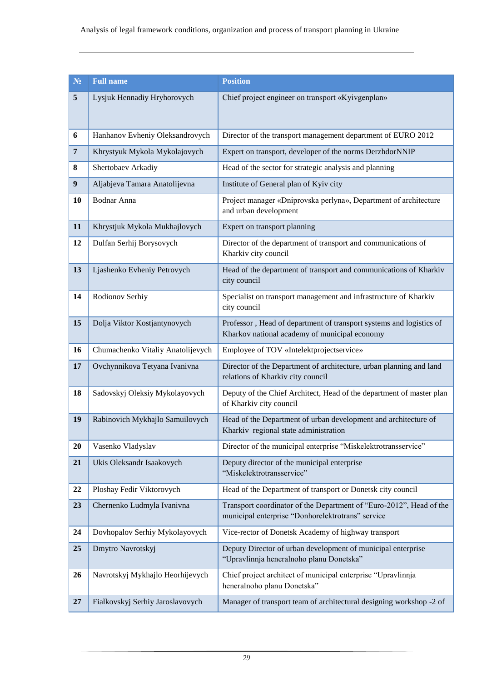| N <sub>2</sub> | <b>Full name</b>                  | <b>Position</b>                                                                                                          |  |  |
|----------------|-----------------------------------|--------------------------------------------------------------------------------------------------------------------------|--|--|
| 5              | Lysjuk Hennadiy Hryhorovych       | Chief project engineer on transport «Kyivgenplan»                                                                        |  |  |
|                |                                   |                                                                                                                          |  |  |
| 6              | Hanhanov Evheniy Oleksandrovych   | Director of the transport management department of EURO 2012                                                             |  |  |
| $\overline{7}$ | Khrystyuk Mykola Mykolajovych     | Expert on transport, developer of the norms DerzhdorNNIP                                                                 |  |  |
| 8              | Shertobaev Arkadiy                | Head of the sector for strategic analysis and planning                                                                   |  |  |
| 9              | Aljabjeva Tamara Anatolijevna     | Institute of General plan of Kyiv city                                                                                   |  |  |
| 10             | Bodnar Anna                       | Project manager «Dniprovska perlyna», Department of architecture<br>and urban development                                |  |  |
| 11             | Khrystjuk Mykola Mukhajlovych     | Expert on transport planning                                                                                             |  |  |
| 12             | Dulfan Serhij Borysovych          | Director of the department of transport and communications of<br>Kharkiv city council                                    |  |  |
| 13             | Ljashenko Evheniy Petrovych       | Head of the department of transport and communications of Kharkiv<br>city council                                        |  |  |
| 14             | Rodionov Serhiy                   | Specialist on transport management and infrastructure of Kharkiv<br>city council                                         |  |  |
| 15             | Dolja Viktor Kostjantynovych      | Professor, Head of department of transport systems and logistics of<br>Kharkov national academy of municipal economy     |  |  |
| 16             | Chumachenko Vitaliy Anatolijevych | Employee of TOV «Intelektprojectservice»                                                                                 |  |  |
| 17             | Ovchynnikova Tetyana Ivanivna     | Director of the Department of architecture, urban planning and land<br>relations of Kharkiv city council                 |  |  |
| 18             | Sadovskyj Oleksiy Mykolayovych    | Deputy of the Chief Architect, Head of the department of master plan<br>of Kharkiv city council                          |  |  |
| 19             | Rabinovich Mykhajlo Samuilovych   | Head of the Department of urban development and architecture of<br>Kharkiv regional state administration                 |  |  |
| 20             | Vasenko Vladyslav                 | Director of the municipal enterprise "Miskelektrotransservice"                                                           |  |  |
| 21             | Ukis Oleksandr Isaakovych         | Deputy director of the municipal enterprise<br>"Miskelektrotransservice"                                                 |  |  |
| 22             | Ploshay Fedir Viktorovych         | Head of the Department of transport or Donetsk city council                                                              |  |  |
| 23             | Chernenko Ludmyla Ivanivna        | Transport coordinator of the Department of "Euro-2012", Head of the<br>municipal enterprise "Donhorelektrotrans" service |  |  |
| 24             | Dovhopalov Serhiy Mykolayovych    | Vice-rector of Donetsk Academy of highway transport                                                                      |  |  |
| 25             | Dmytro Navrotskyj                 | Deputy Director of urban development of municipal enterprise<br>"Upravlinnja heneralnoho planu Donetska"                 |  |  |
| 26             | Navrotskyj Mykhajlo Heorhijevych  | Chief project architect of municipal enterprise "Upravlinnja<br>heneralnoho planu Donetska"                              |  |  |
| 27             | Fialkovskyj Serhiy Jaroslavovych  | Manager of transport team of architectural designing workshop -2 of                                                      |  |  |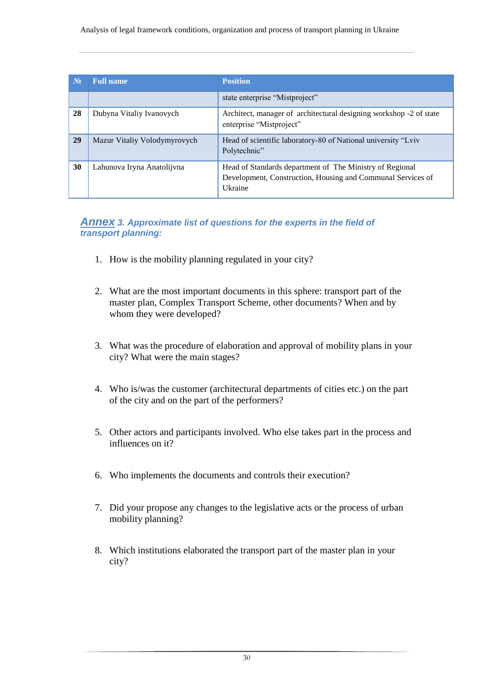| $N_2$ | <b>Full name</b>             | <b>Position</b>                                                                                                                           |
|-------|------------------------------|-------------------------------------------------------------------------------------------------------------------------------------------|
|       |                              | state enterprise "Mistproject"                                                                                                            |
| 28    | Dubyna Vitaliy Ivanovych     | Architect, manager of architectural designing workshop -2 of state<br>enterprise "Mistproject"                                            |
| 29    | Mazur Vitaliy Volodymyrovych | Head of scientific laboratory-80 of National university "Lviv<br>Polytechnic"                                                             |
| 30    | Lahunova Iryna Anatolijvna   | Head of Standards department of The Ministry of Regional<br>Development, Construction, Housing and Communal Services of<br><b>Ukraine</b> |

## <span id="page-29-0"></span>*Annex 3. Approximate list of questions for the experts in the field of transport planning:*

- 1. How is the mobility planning regulated in your city?
- 2. What are the most important documents in this sphere: transport part of the master plan, Complex Transport Scheme, other documents? When and by whom they were developed?
- 3. What was the procedure of elaboration and approval of mobility plans in your city? What were the main stages?
- 4. Who is/was the customer (architectural departments of cities etc.) on the part of the city and on the part of the performers?
- 5. Other actors and participants involved. Who else takes part in the process and influences on it?
- 6. Who implements the documents and controls their execution?
- 7. Did your propose any changes to the legislative acts or the process of urban mobility planning?
- 8. Which institutions elaborated the transport part of the master plan in your city?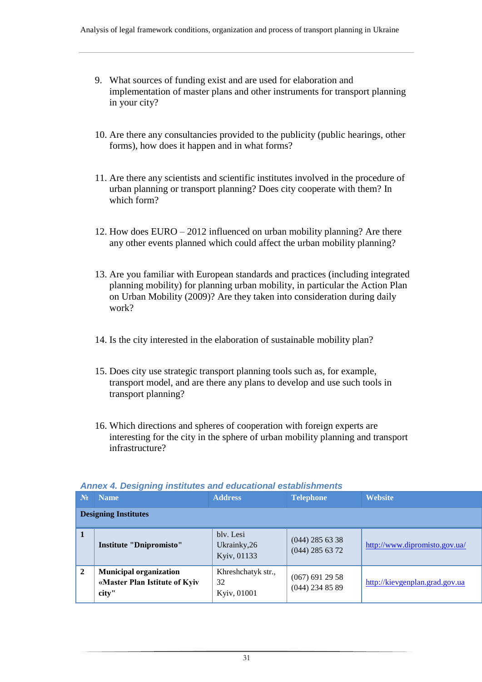- 9. What sources of funding exist and are used for elaboration and implementation of master plans and other instruments for transport planning in your city?
- 10. Are there any consultancies provided to the publicity (public hearings, other forms), how does it happen and in what forms?
- 11. Are there any scientists and scientific institutes involved in the procedure of urban planning or transport planning? Does city cooperate with them? In which form?
- 12. How does EURO 2012 influenced on urban mobility planning? Are there any other events planned which could affect the urban mobility planning?
- 13. Are you familiar with European standards and practices (including integrated planning mobility) for planning urban mobility, in particular the Action Plan on Urban Mobility (2009)? Are they taken into consideration during daily work?
- 14. Is the city interested in the elaboration of sustainable mobility plan?
- 15. Does city use strategic transport planning tools such as, for example, transport model, and are there any plans to develop and use such tools in transport planning?
- 16. Which directions and spheres of cooperation with foreign experts are interesting for the city in the sphere of urban mobility planning and transport infrastructure?

| $N_2$          | <b>Name</b>                                                             | <b>Address</b>                           | <b>Telephone</b>                       | <b>Website</b>                 |  |  |
|----------------|-------------------------------------------------------------------------|------------------------------------------|----------------------------------------|--------------------------------|--|--|
|                | <b>Designing Institutes</b>                                             |                                          |                                        |                                |  |  |
| $\mathbf{1}$   | <b>Institute "Dnipromisto"</b>                                          | bly. Lesi<br>Ukrainky, 26<br>Kyiv, 01133 | $(044)$ 285 63 38<br>$(044)$ 285 63 72 | http://www.dipromisto.gov.ua/  |  |  |
| $\overline{2}$ | <b>Municipal organization</b><br>«Master Plan Istitute of Kyiv<br>city" | Khreshchatyk str.,<br>32<br>Kyiv, 01001  | $(067)$ 691 29 58<br>$(044)$ 234 85 89 | http://kievgenplan.grad.gov.ua |  |  |

#### <span id="page-30-0"></span>*Annex 4. Designing institutes and educational establishments*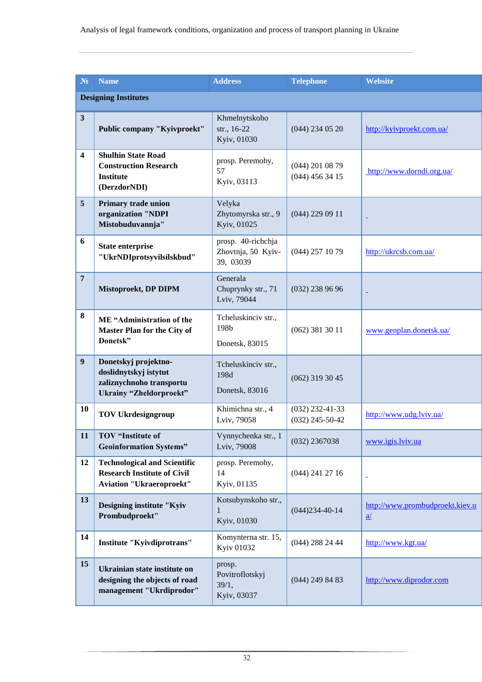| N <sub>2</sub>          | <b>Name</b>                                                                                                  | <b>Address</b>                                        | <b>Telephone</b>                       | <b>Website</b>                                     |  |  |
|-------------------------|--------------------------------------------------------------------------------------------------------------|-------------------------------------------------------|----------------------------------------|----------------------------------------------------|--|--|
|                         | <b>Designing Institutes</b>                                                                                  |                                                       |                                        |                                                    |  |  |
| $\mathbf{3}$            | Public company "Kyivproekt"                                                                                  | Khmelnytskoho<br>str., 16-22<br>Kyiv, 01030           | $(044)$ 234 05 20                      | http://kyivproekt.com.ua/                          |  |  |
| $\overline{\mathbf{4}}$ | <b>Shulhin State Road</b><br><b>Construction Research</b><br><b>Institute</b><br>(DerzdorNDI)                | prosp. Peremohy,<br>57<br>Kyiv, 03113                 | $(044)$ 201 08 79<br>$(044)$ 456 34 15 | http://www.dorndi.org.ua/                          |  |  |
| 5                       | Primary trade union<br>organization "NDPI<br>Mistobuduvannja"                                                | Velyka<br>Zhytomyrska str., 9<br>Kyiv, 01025          | $(044)$ 229 09 11                      |                                                    |  |  |
| 6                       | <b>State enterprise</b><br>"UkrNDIprotsyvilsilskbud"                                                         | prosp. 40-richchja<br>Zhovtnja, 50 Kyiv-<br>39, 03039 | $(044)$ 257 10 79                      | http://ukrcsb.com.ua/                              |  |  |
| $7\phantom{.0}$         | Mistoproekt, DP DIPM                                                                                         | Generala<br>Chuprynky str., 71<br>Lviv, 79044         | $(032)$ 238 96 96                      | ÷                                                  |  |  |
| 8                       | ME "Administration of the<br>Master Plan for the City of<br>Donetsk"                                         | Tcheluskinciv str.,<br>198b<br>Donetsk, 83015         | $(062)$ 381 30 11                      | www.genplan.donetsk.ua/                            |  |  |
| 9                       | Donetskyj projektno-<br>doslidnytskyj istytut<br>zaliznychnoho transportu<br><b>Ukrainy "Zheldorproekt"</b>  | Tcheluskinciv str.,<br>198d<br>Donetsk, 83016         | $(062)$ 319 30 45                      |                                                    |  |  |
| 10                      | <b>TOV Ukrdesigngroup</b>                                                                                    | Khimichna str., 4<br>Lviv, 79058                      | $(032)$ 232-41-33<br>$(032)$ 245-50-42 | http://www.udg.lviv.ua/                            |  |  |
| 11                      | TOV "Institute of<br><b>Geoinformation Systems"</b>                                                          | Vynnychenka str., 1<br>Lviv, 79008                    | $(032)$ 2367038                        | www.igis.lviv.ua                                   |  |  |
| 12                      | <b>Technological and Scientific</b><br><b>Research Institute of Civil</b><br><b>Aviation "Ukraeroproekt"</b> | prosp. Peremohy,<br>14<br>Kyiv, 01135                 | $(044)$ 241 27 16                      | ÷                                                  |  |  |
| 13                      | Designing institute "Kyiv<br>Prombudproekt"                                                                  | Kotsubynskoho str.,<br>1<br>Kyiv, 01030               | $(044)234-40-14$                       | http://www.prombudproekt.kiev.u<br>$\underline{a}$ |  |  |
| 14                      | Institute "Kyivdiprotrans"                                                                                   | Komynterna str. 15,<br>Kyiv 01032                     | $(044)$ 288 24 44                      | http://www.kgt.ua/                                 |  |  |
| 15                      | Ukrainian state institute on<br>designing the objects of road<br>management "Ukrdiprodor"                    | prosp.<br>Povitroflotskyj<br>39/1,<br>Kyiv, 03037     | $(044)$ 249 84 83                      | http://www.diprodor.com                            |  |  |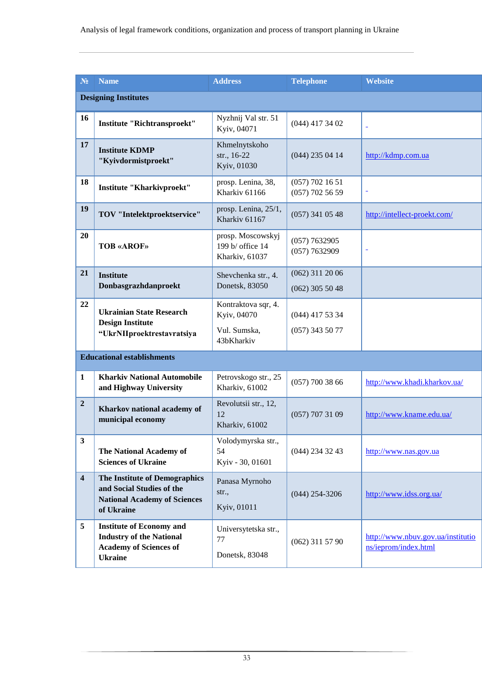| N <sub>2</sub>          | <b>Name</b>                                                                                                           | <b>Address</b>                                                   | <b>Telephone</b>                       | <b>Website</b>                                            |  |
|-------------------------|-----------------------------------------------------------------------------------------------------------------------|------------------------------------------------------------------|----------------------------------------|-----------------------------------------------------------|--|
|                         | <b>Designing Institutes</b>                                                                                           |                                                                  |                                        |                                                           |  |
| 16                      | <b>Institute "Richtransproekt"</b>                                                                                    | Nyzhnij Val str. 51<br>Kyiv, 04071                               | $(044)$ 417 34 02                      |                                                           |  |
| 17                      | <b>Institute KDMP</b><br>"Kyivdormistproekt"                                                                          | Khmelnytskoho<br>str., 16-22<br>Kyiv, 01030                      | $(044)$ 235 04 14                      | http://kdmp.com.ua                                        |  |
| 18                      | <b>Institute "Kharkivproekt"</b>                                                                                      | prosp. Lenina, 38,<br>Kharkiv 61166                              | $(057)$ 702 16 51<br>$(057)$ 702 56 59 | ۰                                                         |  |
| 19                      | TOV "Intelektproektservice"                                                                                           | prosp. Lenina, 25/1,<br>Kharkiv 61167                            | $(057)$ 341 05 48                      | http://intellect-proekt.com/                              |  |
| 20                      | <b>TOB «AROF»</b>                                                                                                     | prosp. Moscowskyj<br>199 b/ office 14<br>Kharkiv, 61037          | (057) 7632905<br>(057) 7632909         | $\blacksquare$                                            |  |
| 21                      | <b>Institute</b><br>Donbasgrazhdanproekt                                                                              | Shevchenka str., 4.<br>Donetsk, 83050                            | $(062)$ 311 20 06<br>$(062)$ 305 50 48 |                                                           |  |
| 22                      | <b>Ukrainian State Research</b><br><b>Design Institute</b><br>"UkrNIIproektrestavratsiya                              | Kontraktova sqr, 4.<br>Kyiv, 04070<br>Vul. Sumska,<br>43bKharkiv | $(044)$ 417 53 34<br>$(057)$ 343 50 77 |                                                           |  |
|                         | <b>Educational establishments</b>                                                                                     |                                                                  |                                        |                                                           |  |
| $\mathbf{1}$            | <b>Kharkiv National Automobile</b><br>and Highway University                                                          | Petrovskogo str., 25<br>Kharkiv, 61002                           | $(057)$ 700 38 66                      | http://www.khadi.kharkov.ua/                              |  |
| $\overline{2}$          | Kharkov national academy of<br>municipal economy                                                                      | Revolutsii str., 12,<br>12<br>Kharkiv, 61002                     | $(057)$ 707 31 09                      | http://www.kname.edu.ua/                                  |  |
| $\mathbf{3}$            | The National Academy of<br><b>Sciences of Ukraine</b>                                                                 | Volodymyrska str.,<br>54<br>Kyiv - 30, 01601                     | $(044)$ 234 32 43                      | http://www.nas.gov.ua                                     |  |
| $\overline{\mathbf{4}}$ | The Institute of Demographics<br>and Social Studies of the<br><b>National Academy of Sciences</b><br>of Ukraine       | Panasa Myrnoho<br>str.,<br>Kyiv, 01011                           | $(044)$ 254-3206                       | http://www.idss.org.ua/                                   |  |
| 5                       | <b>Institute of Economy and</b><br><b>Industry of the National</b><br><b>Academy of Sciences of</b><br><b>Ukraine</b> | Universytetska str.,<br>77<br>Donetsk, 83048                     | $(062)$ 311 57 90                      | http://www.nbuv.gov.ua/institutio<br>ns/ieprom/index.html |  |